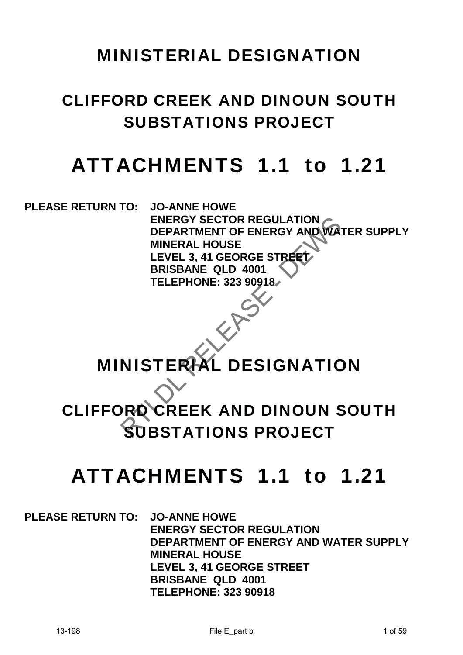# MINISTERIAL DESIGNATION

# CLIFFORD CREEK AND DINOUN SOUTH SUBSTATIONS PROJECT

# ATTACHMENTS 1.1 to 1.21

**PLEASE RETURN TO: JO-ANNE HOWE**

**ENERGY SECTOR REGULATION DEPARTMENT OF ENERGY AND WATER SUPPLY MINERAL HOUSE LEVEL 3, 41 GEORGE STREET BRISBANE QLD 4001 TELEPHONE: 323 90918**

# MINISTERIAL DESIGNATION

**CLIFFORD CREEK AND DINOUN SOUTH** SUBSTATIONS PROJECT

# ATTACHMENTS 1.1 to 1.21

**PLEASE RETURN TO: JO-ANNE HOWE**

**ENERGY SECTOR REGULATION DEPARTMENT OF ENERGY AND WATER SUPPLY MINERAL HOUSE LEVEL 3, 41 GEORGE STREET BRISBANE QLD 4001 TELEPHONE: 323 90918** ENERGY SECTOR REGULATION<br>
INITIAL HOUSE<br>
LEVEL 3, 41 GEORGE STREET<br>
FREEDING: 323 90918,<br>
TELEPHONE: 323 90918,<br>
TELEPHONE: 323 90918,<br>
TELEPHONE: 323 90918,<br>
MINISTERIAL DESIGNATION<br>
CLIFFORD CREEK AND DINOUN SOUTH<br>
SUBST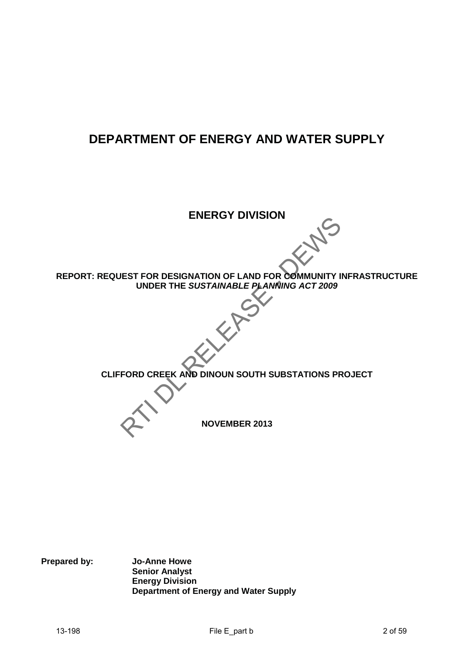# **DEPARTMENT OF ENERGY AND WATER SUPPLY**



**Prepared by: Jo-Anne Howe Senior Analyst Energy Division Department of Energy and Water Supply**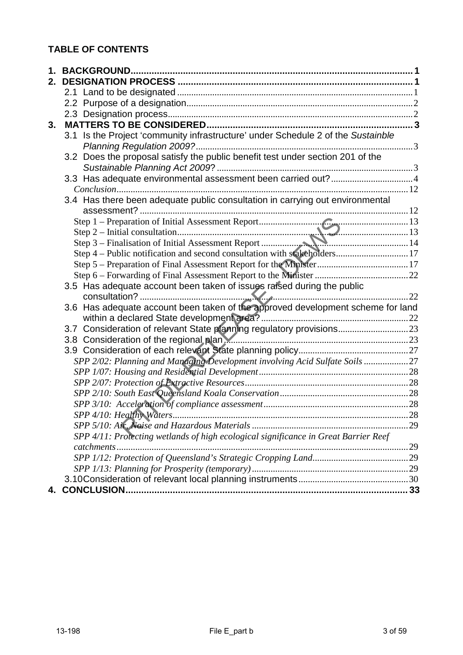# **TABLE OF CONTENTS**

| 1. |        | <b>BACKGROUND</b>                                                                                 |         |
|----|--------|---------------------------------------------------------------------------------------------------|---------|
|    |        |                                                                                                   |         |
|    |        |                                                                                                   |         |
|    |        |                                                                                                   |         |
|    |        |                                                                                                   |         |
| 3. |        |                                                                                                   |         |
|    |        | 3.1 Is the Project 'community infrastructure' under Schedule 2 of the Sustainble                  |         |
|    |        |                                                                                                   |         |
|    |        | 3.2 Does the proposal satisfy the public benefit test under section 201 of the                    |         |
|    |        |                                                                                                   |         |
|    |        | 3.3 Has adequate environmental assessment been carried out?4                                      |         |
|    |        |                                                                                                   |         |
|    |        | 3.4 Has there been adequate public consultation in carrying out environmental                     |         |
|    |        |                                                                                                   |         |
|    |        |                                                                                                   |         |
|    |        |                                                                                                   |         |
|    |        |                                                                                                   |         |
|    |        | Step 4 - Public notification and second consultation with stakeholders 17                         |         |
|    |        |                                                                                                   |         |
|    |        | 3.5 Has adequate account been taken of issues raised during the public                            |         |
|    |        |                                                                                                   |         |
|    |        | 3.6 Has adequate account been taken of the approved development scheme for land                   |         |
|    |        |                                                                                                   |         |
|    |        | 3.7 Consideration of relevant State planning regulatory provisions23                              |         |
|    |        | 3.8 Consideration of the regional plan <b>Manufacture 2.8</b> Consideration of the regional plan. |         |
|    |        |                                                                                                   |         |
|    |        | SPP 2/02: Planning and Managing Development involving Acid Sulfate Soils 27                       |         |
|    |        |                                                                                                   |         |
|    |        |                                                                                                   |         |
|    |        |                                                                                                   |         |
|    |        |                                                                                                   |         |
|    |        |                                                                                                   |         |
|    |        |                                                                                                   |         |
|    |        | SPP 4/11: Protecting wetlands of high ecological significance in Great Barrier Reef               |         |
|    |        |                                                                                                   |         |
|    |        |                                                                                                   |         |
|    |        |                                                                                                   |         |
|    |        |                                                                                                   |         |
| 4. |        | <b>CONCLUSION.</b>                                                                                |         |
|    |        |                                                                                                   |         |
|    |        |                                                                                                   |         |
|    |        |                                                                                                   |         |
|    |        |                                                                                                   |         |
|    |        |                                                                                                   |         |
|    |        |                                                                                                   |         |
|    |        |                                                                                                   |         |
|    |        |                                                                                                   |         |
|    |        |                                                                                                   |         |
|    |        |                                                                                                   |         |
|    |        |                                                                                                   |         |
|    | 13-198 | File E_part b                                                                                     | 3 of 59 |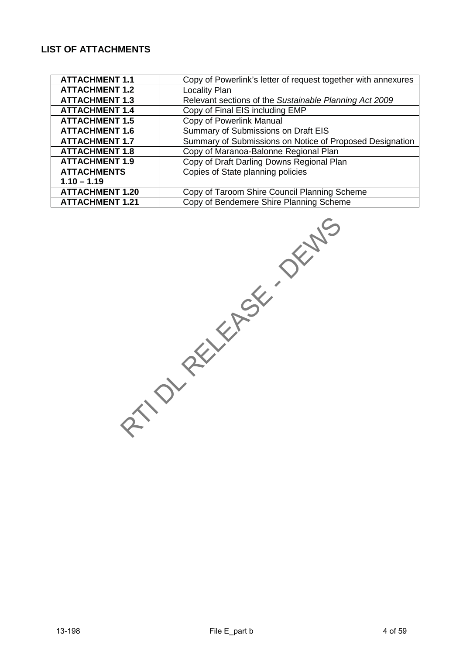# **LIST OF ATTACHMENTS**

| <b>ATTACHMENT 1.1</b>  | Copy of Powerlink's letter of request together with annexures |
|------------------------|---------------------------------------------------------------|
| <b>ATTACHMENT 1.2</b>  | <b>Locality Plan</b>                                          |
| <b>ATTACHMENT 1.3</b>  | Relevant sections of the Sustainable Planning Act 2009        |
| <b>ATTACHMENT 1.4</b>  | Copy of Final EIS including EMP                               |
| <b>ATTACHMENT 1.5</b>  | Copy of Powerlink Manual                                      |
| <b>ATTACHMENT 1.6</b>  | Summary of Submissions on Draft EIS                           |
| <b>ATTACHMENT 1.7</b>  | Summary of Submissions on Notice of Proposed Designation      |
| <b>ATTACHMENT 1.8</b>  | Copy of Maranoa-Balonne Regional Plan                         |
| <b>ATTACHMENT 1.9</b>  | Copy of Draft Darling Downs Regional Plan                     |
| <b>ATTACHMENTS</b>     | Copies of State planning policies                             |
| $1.10 - 1.19$          |                                                               |
| <b>ATTACHMENT 1.20</b> | Copy of Taroom Shire Council Planning Scheme                  |
| <b>ATTACHMENT 1.21</b> | Copy of Bendemere Shire Planning Scheme                       |

13-198 FILE E\_part b 4 or 59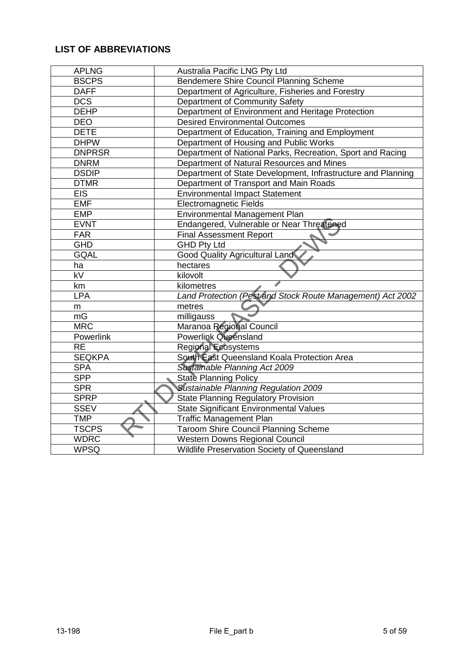# **LIST OF ABBREVIATIONS**

| <b>APLNG</b>  | Australia Pacific LNG Pty Ltd                                |         |
|---------------|--------------------------------------------------------------|---------|
| <b>BSCPS</b>  | Bendemere Shire Council Planning Scheme                      |         |
| <b>DAFF</b>   | Department of Agriculture, Fisheries and Forestry            |         |
| <b>DCS</b>    | Department of Community Safety                               |         |
| <b>DEHP</b>   | Department of Environment and Heritage Protection            |         |
| <b>DEO</b>    | <b>Desired Environmental Outcomes</b>                        |         |
| <b>DETE</b>   | Department of Education, Training and Employment             |         |
| <b>DHPW</b>   | Department of Housing and Public Works                       |         |
| <b>DNPRSR</b> | Department of National Parks, Recreation, Sport and Racing   |         |
| <b>DNRM</b>   | Department of Natural Resources and Mines                    |         |
| <b>DSDIP</b>  | Department of State Development, Infrastructure and Planning |         |
| <b>DTMR</b>   | Department of Transport and Main Roads                       |         |
| <b>EIS</b>    | <b>Environmental Impact Statement</b>                        |         |
| <b>EMF</b>    | <b>Electromagnetic Fields</b>                                |         |
| <b>EMP</b>    | Environmental Management Plan                                |         |
| <b>EVNT</b>   | Endangered, Vulnerable or Near Threatened                    |         |
| <b>FAR</b>    | <b>Final Assessment Report</b>                               |         |
| <b>GHD</b>    | <b>GHD Pty Ltd</b>                                           |         |
| <b>GQAL</b>   | <b>Good Quality Agricultural Land</b>                        |         |
| ha            | hectares                                                     |         |
| kV            | kilovolt                                                     |         |
| km            | kilometres                                                   |         |
| <b>LPA</b>    | Land Protection (Pest and Stock Route Management) Act 2002   |         |
|               |                                                              |         |
| m<br>mG       | metres                                                       |         |
| <b>MRC</b>    | milligauss                                                   |         |
|               | Maranoa Regional Council                                     |         |
| Powerlink     | <b>Powerlink Queensland</b>                                  |         |
| <b>RE</b>     | Regional Ecosystems                                          |         |
| <b>SEQKPA</b> | South East Queensland Koala Protection Area                  |         |
| <b>SPA</b>    | Sustainable Planning Act 2009                                |         |
| <b>SPP</b>    | <b>State Planning Policy</b>                                 |         |
| <b>SPR</b>    | Sustainable Planning Regulation 2009                         |         |
| <b>SPRP</b>   | <b>State Planning Regulatory Provision</b>                   |         |
| <b>SSEV</b>   | <b>State Significant Environmental Values</b>                |         |
| TMP           | <b>Traffic Management Plan</b>                               |         |
| <b>TSCPS</b>  | Taroom Shire Council Planning Scheme                         |         |
| <b>WDRC</b>   | <b>Western Downs Regional Council</b>                        |         |
| <b>WPSQ</b>   | Wildlife Preservation Society of Queensland                  |         |
|               |                                                              |         |
| 13-198        | File E_part b                                                | 5 of 59 |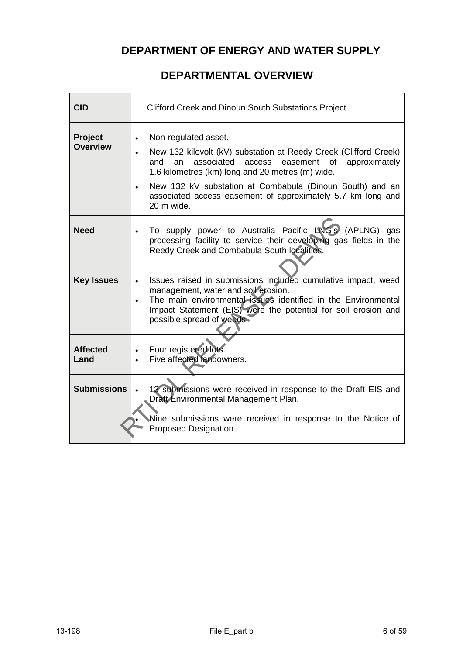# **DEPARTMENT OF ENERGY AND WATER SUPPLY**

# **DEPARTMENTAL OVERVIEW**

| <b>CID</b>                        | <b>Clifford Creek and Dinoun South Substations Project</b>                                                                                                                                                                                                                                                                                                                        |
|-----------------------------------|-----------------------------------------------------------------------------------------------------------------------------------------------------------------------------------------------------------------------------------------------------------------------------------------------------------------------------------------------------------------------------------|
| <b>Project</b><br><b>Overview</b> | Non-regulated asset.<br>New 132 kilovolt (kV) substation at Reedy Creek (Clifford Creek)<br>$\bullet$<br>associated<br>easement of approximately<br>an<br>access<br>and<br>1.6 kilometres (km) long and 20 metres (m) wide.<br>New 132 kV substation at Combabula (Dinoun South) and an<br>$\bullet$<br>associated access easement of approximately 5.7 km long and<br>20 m wide. |
| <b>Need</b>                       | To supply power to Australia Pacific LNG's (APLNG) gas<br>processing facility to service their developing gas fields in the<br>Reedy Creek and Combabula South localities.                                                                                                                                                                                                        |
| <b>Key Issues</b>                 | Issues raised in submissions included cumulative impact, weed<br>management, water and soil erosion.<br>The main environmental issues identified in the Environmental<br>$\bullet$<br>Impact Statement (EIS) were the potential for soil erosion and<br>possible spread of weeds.                                                                                                 |
| <b>Affected</b><br>Land           | Four registered lots.<br>Five affected landowners.                                                                                                                                                                                                                                                                                                                                |
| <b>Submissions</b>                | 13 submissions were received in response to the Draft EIS and<br>Draft Environmental Management Plan.<br>Nine submissions were received in response to the Notice of<br>Proposed Designation.                                                                                                                                                                                     |
|                                   |                                                                                                                                                                                                                                                                                                                                                                                   |
|                                   |                                                                                                                                                                                                                                                                                                                                                                                   |
|                                   |                                                                                                                                                                                                                                                                                                                                                                                   |
| 13-198                            | File E_part b<br>6 of 59                                                                                                                                                                                                                                                                                                                                                          |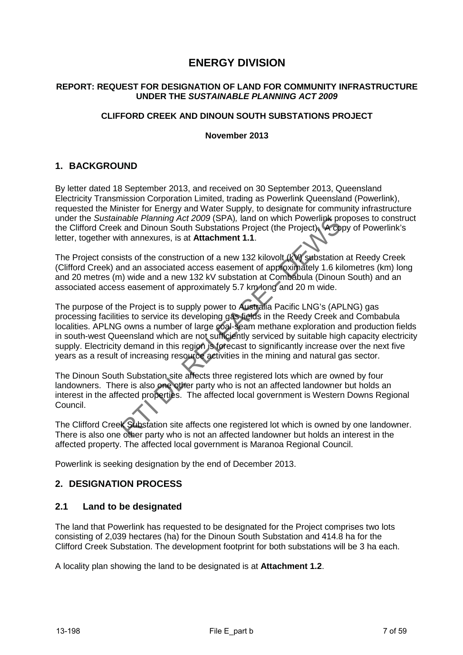# **ENERGY DIVISION**

#### **REPORT: REQUEST FOR DESIGNATION OF LAND FOR COMMUNITY INFRASTRUCTURE UNDER THE** *SUSTAINABLE PLANNING ACT 2009*

#### **CLIFFORD CREEK AND DINOUN SOUTH SUBSTATIONS PROJECT**

#### **November 2013**

#### **1. BACKGROUND**

By letter dated 18 September 2013, and received on 30 September 2013, Queensland Electricity Transmission Corporation Limited, trading as Powerlink Queensland (Powerlink), requested the Minister for Energy and Water Supply, to designate for community infrastructure under the *Sustainable Planning Act 2009* (SPA)*,* land on which Powerlink proposes to construct the Clifford Creek and Dinoun South Substations Project (the Project). A copy of Powerlink's letter, together with annexures, is at **Attachment 1.1**.

The Project consists of the construction of a new 132 kilovolt (kV) substation at Reedy Creek (Clifford Creek) and an associated access easement of approximately 1.6 kilometres (km) long and 20 metres (m) wide and a new 132 kV substation at Combabula (Dinoun South) and an associated access easement of approximately 5.7 km long and 20 m wide.

The purpose of the Project is to supply power to Australia Pacific LNG's (APLNG) gas processing facilities to service its developing gas fields in the Reedy Creek and Combabula localities. APLNG owns a number of large coal-seam methane exploration and production fields in south-west Queensland which are not sufficiently serviced by suitable high capacity electricity supply. Electricity demand in this region is forecast to significantly increase over the next five years as a result of increasing resource activities in the mining and natural gas sector. under the Sustainsable Planning Ad Z009 (¥PA), land on which Peventees to construct<br>the Clifford Creek and Dinoun South Substations Project (the Project). WedDy of Powerfinks<br>teter, together with annexures, is at Attachm

The Dinoun South Substation site affects three registered lots which are owned by four landowners. There is also one other party who is not an affected landowner but holds an interest in the affected properties. The affected local government is Western Downs Regional Council.

The Clifford Creek Substation site affects one registered lot which is owned by one landowner. There is also one other party who is not an affected landowner but holds an interest in the affected property. The affected local government is Maranoa Regional Council.

Powerlink is seeking designation by the end of December 2013.

#### **2. DESIGNATION PROCESS**

#### **2.1 Land to be designated**

The land that Powerlink has requested to be designated for the Project comprises two lots consisting of 2,039 hectares (ha) for the Dinoun South Substation and 414.8 ha for the Clifford Creek Substation. The development footprint for both substations will be 3 ha each.

A locality plan showing the land to be designated is at **Attachment 1.2**.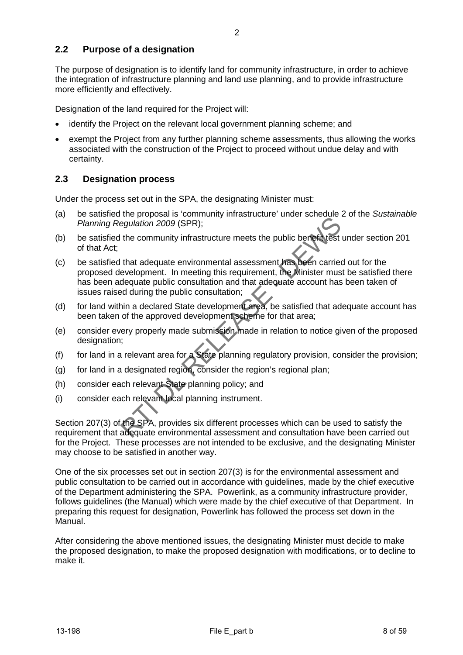# **2.2 Purpose of a designation**

The purpose of designation is to identify land for community infrastructure, in order to achieve the integration of infrastructure planning and land use planning, and to provide infrastructure more efficiently and effectively.

Designation of the land required for the Project will:

- identify the Project on the relevant local government planning scheme; and
- exempt the Project from any further planning scheme assessments, thus allowing the works associated with the construction of the Project to proceed without undue delay and with certainty.

#### **2.3 Designation process**

Under the process set out in the SPA, the designating Minister must:

- (a) be satisfied the proposal is 'community infrastructure' under schedule 2 of the *Sustainable Planning Regulation 2009* (SPR);
- (b) be satisfied the community infrastructure meets the public benefit test under section 201 of that Act;
- (c) be satisfied that adequate environmental assessment has been carried out for the proposed development. In meeting this requirement, the Minister must be satisfied there has been adequate public consultation and that adequate account has been taken of issues raised during the public consultation;
- (d) for land within a declared State development area, be satisfied that adequate account has been taken of the approved development scheme for that area;
- (e) consider every properly made submission made in relation to notice given of the proposed designation;
- (f) for land in a relevant area for a State planning regulatory provision, consider the provision;
- (g) for land in a designated region, consider the region's regional plan;
- (h) consider each relevant State planning policy; and
- (i) consider each relevant local planning instrument.

Section 207(3) of the SPA, provides six different processes which can be used to satisfy the requirement that adequate environmental assessment and consultation have been carried out for the Project. These processes are not intended to be exclusive, and the designating Minister may choose to be satisfied in another way.

One of the six processes set out in section 207(3) is for the environmental assessment and public consultation to be carried out in accordance with guidelines, made by the chief executive of the Department administering the SPA. Powerlink, as a community infrastructure provider, follows guidelines (the Manual) which were made by the chief executive of that Department. In preparing this request for designation, Powerlink has followed the process set down in the Manual. *Plearning Regulation 2009* (SPR):<br> *Chanting Regulation 2009 (SPR):*<br>
(b) be satisfied the community infrastructure meets the public beneficien at<br>
(c) be anisfed that adequate environmental assessment **JPs.** *Proposed d* 

After considering the above mentioned issues, the designating Minister must decide to make the proposed designation, to make the proposed designation with modifications, or to decline to make it.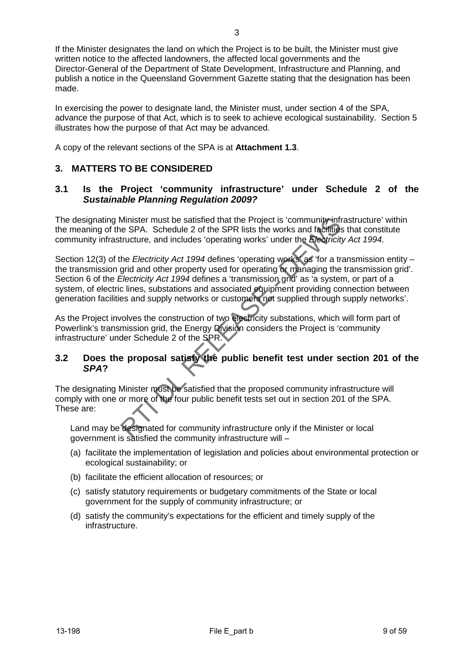If the Minister designates the land on which the Project is to be built, the Minister must give written notice to the affected landowners, the affected local governments and the Director-General of the Department of State Development, Infrastructure and Planning, and publish a notice in the Queensland Government Gazette stating that the designation has been made.

In exercising the power to designate land, the Minister must, under section 4 of the SPA. advance the purpose of that Act, which is to seek to achieve ecological sustainability. Section 5 illustrates how the purpose of that Act may be advanced.

A copy of the relevant sections of the SPA is at **Attachment 1.3**.

# **3. MATTERS TO BE CONSIDERED**

#### **3.1 Is the Project 'community infrastructure' under Schedule 2 of the**  *Sustainable Planning Regulation 2009?*

The designating Minister must be satisfied that the Project is 'community infrastructure' within the meaning of the SPA. Schedule 2 of the SPR lists the works and facilities that constitute community infrastructure, and includes 'operating works' under the *Electricity Act 1994*.

Section 12(3) of the *Electricity Act 1994* defines 'operating works' as 'for a transmission entity – the transmission grid and other property used for operating or managing the transmission grid'. Section 6 of the *Electricity Act 1994* defines a 'transmission grid' as 'a system, or part of a system, of electric lines, substations and associated equipment providing connection between generation facilities and supply networks or customers not supplied through supply networks'. The designating Minister must be satisfied that the Project is "community infrastructure" within<br>the meaning of the SPR. Schedule 2 of the SPR lists the works and **factificies**<br>community infrastructure, and includes 'oper

As the Project involves the construction of two electricity substations, which will form part of Powerlink's transmission grid, the Energy Division considers the Project is 'community infrastructure' under Schedule 2 of the SPR.

#### **3.2 Does the proposal satisfy the public benefit test under section 201 of the**  *SPA***?**

The designating Minister must be satisfied that the proposed community infrastructure will comply with one or more of the four public benefit tests set out in section 201 of the SPA. These are:

Land may be designated for community infrastructure only if the Minister or local government is satisfied the community infrastructure will –

- (a) facilitate the implementation of legislation and policies about environmental protection or ecological sustainability; or
- (b) facilitate the efficient allocation of resources; or
- (c) satisfy statutory requirements or budgetary commitments of the State or local government for the supply of community infrastructure; or
- (d) satisfy the community's expectations for the efficient and timely supply of the infrastructure.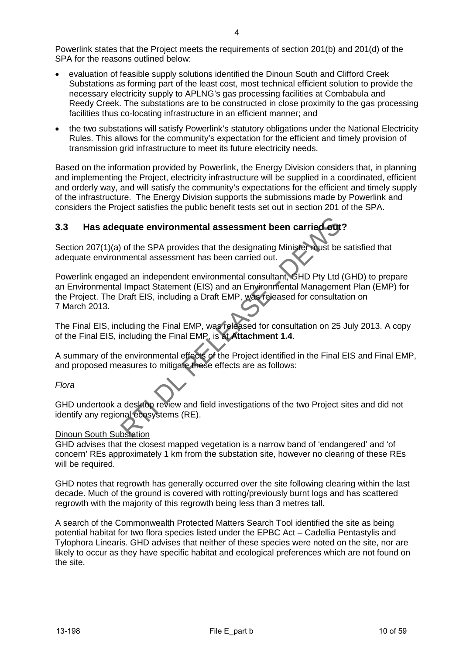- evaluation of feasible supply solutions identified the Dinoun South and Clifford Creek Substations as forming part of the least cost, most technical efficient solution to provide the necessary electricity supply to APLNG's gas processing facilities at Combabula and Reedy Creek. The substations are to be constructed in close proximity to the gas processing facilities thus co-locating infrastructure in an efficient manner; and
- the two substations will satisfy Powerlink's statutory obligations under the National Electricity Rules. This allows for the community's expectation for the efficient and timely provision of transmission grid infrastructure to meet its future electricity needs.

Based on the information provided by Powerlink, the Energy Division considers that, in planning and implementing the Project, electricity infrastructure will be supplied in a coordinated, efficient and orderly way, and will satisfy the community's expectations for the efficient and timely supply of the infrastructure. The Energy Division supports the submissions made by Powerlink and considers the Project satisfies the public benefit tests set out in section 201 of the SPA.

# **3.3 Has adequate environmental assessment been carried out?**

Section 207(1)(a) of the SPA provides that the designating Minister must be satisfied that adequate environmental assessment has been carried out.

Powerlink engaged an independent environmental consultant, GHD Pty Ltd (GHD) to prepare an Environmental Impact Statement (EIS) and an Environmental Management Plan (EMP) for the Project. The Draft EIS, including a Draft EMP, was released for consultation on 7 March 2013.

The Final EIS, including the Final EMP, was released for consultation on 25 July 2013. A copy of the Final EIS, including the Final EMP, is at **Attachment 1.4**.

A summary of the environmental effects of the Project identified in the Final EIS and Final EMP, and proposed measures to mitigate these effects are as follows:

#### *Flora*

GHD undertook a desktop review and field investigations of the two Project sites and did not identify any regional ecosystems (RE).

#### Dinoun South Substation

GHD advises that the closest mapped vegetation is a narrow band of 'endangered' and 'of concern' REs approximately 1 km from the substation site, however no clearing of these REs will be required.

GHD notes that regrowth has generally occurred over the site following clearing within the last decade. Much of the ground is covered with rotting/previously burnt logs and has scattered regrowth with the majority of this regrowth being less than 3 metres tall.

A search of the Commonwealth Protected Matters Search Tool identified the site as being potential habitat for two flora species listed under the EPBC Act – Cadellia Pentastylis and Tylophora Linearis. GHD advises that neither of these species were noted on the site, nor are likely to occur as they have specific habitat and ecological preferences which are not found on the site. 3.3 **Has adequate environmental assessment been carrier of 27**<br>Section 207(1)(a) of the SPA provides that the designating Minister was the statistical that<br>deducte environmental assessment has been carried out.<br>For eventi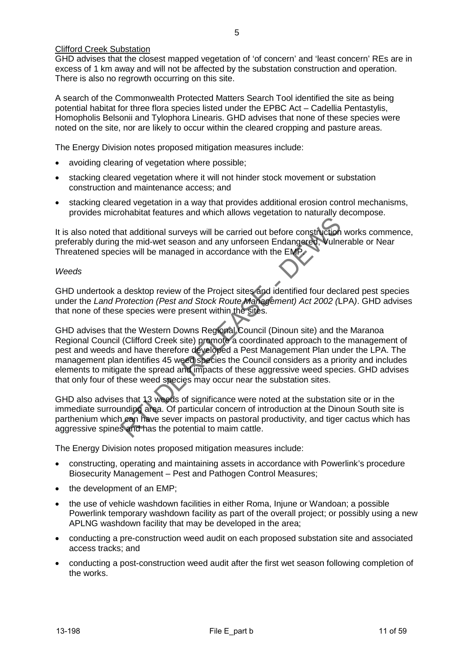#### Clifford Creek Substation

GHD advises that the closest mapped vegetation of 'of concern' and 'least concern' REs are in excess of 1 km away and will not be affected by the substation construction and operation. There is also no regrowth occurring on this site.

A search of the Commonwealth Protected Matters Search Tool identified the site as being potential habitat for three flora species listed under the EPBC Act – Cadellia Pentastylis, Homopholis Belsonii and Tylophora Linearis. GHD advises that none of these species were noted on the site, nor are likely to occur within the cleared cropping and pasture areas.

The Energy Division notes proposed mitigation measures include:

- avoiding clearing of vegetation where possible;
- stacking cleared vegetation where it will not hinder stock movement or substation construction and maintenance access; and
- stacking cleared vegetation in a way that provides additional erosion control mechanisms, provides microhabitat features and which allows vegetation to naturally decompose.

It is also noted that additional surveys will be carried out before construction works commence, preferably during the mid-wet season and any unforseen Endangered, Vulnerable or Near Threatened species will be managed in accordance with the EMP.

#### *Weeds*

GHD undertook a desktop review of the Project sites and identified four declared pest species under the *Land Protection (Pest and Stock Route Management) Act 2002 (*LPA*)*. GHD advises that none of these species were present within the sites.

GHD advises that the Western Downs Regional Council (Dinoun site) and the Maranoa Regional Council (Clifford Creek site) promote a coordinated approach to the management of pest and weeds and have therefore developed a Pest Management Plan under the LPA. The management plan identifies 45 weed species the Council considers as a priority and includes elements to mitigate the spread and impacts of these aggressive weed species. GHD advises that only four of these weed species may occur near the substation sites. 11 is also noted that additional surveys will be carried out before constricted<br>by during the mid-we season and any unforsean Endanged Wulnerable or Near Threatened species will be managed in accordance with the EMP<br>
Weeds

GHD also advises that 13 weeds of significance were noted at the substation site or in the immediate surrounding area. Of particular concern of introduction at the Dinoun South site is parthenium which can have sever impacts on pastoral productivity, and tiger cactus which has aggressive spines and has the potential to maim cattle.

The Energy Division notes proposed mitigation measures include:

- constructing, operating and maintaining assets in accordance with Powerlink's procedure Biosecurity Management – Pest and Pathogen Control Measures;
- the development of an EMP;
- x the use of vehicle washdown facilities in either Roma, Injune or Wandoan; a possible Powerlink temporary washdown facility as part of the overall project; or possibly using a new APLNG washdown facility that may be developed in the area;
- conducting a pre-construction weed audit on each proposed substation site and associated access tracks; and
- conducting a post-construction weed audit after the first wet season following completion of the works.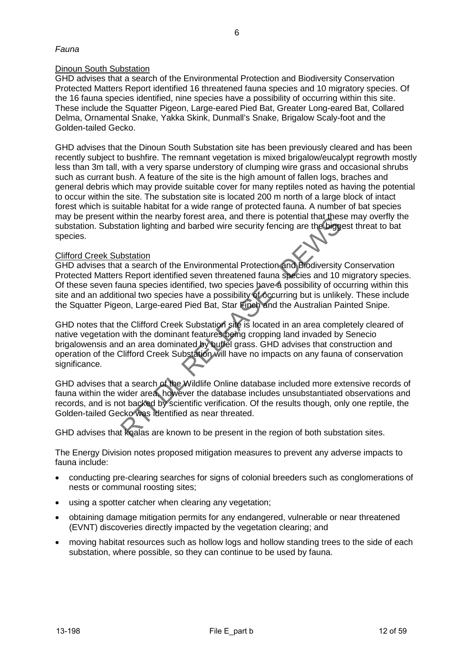#### *Fauna*

#### Dinoun South Substation

GHD advises that a search of the Environmental Protection and Biodiversity Conservation Protected Matters Report identified 16 threatened fauna species and 10 migratory species. Of the 16 fauna species identified, nine species have a possibility of occurring within this site. These include the Squatter Pigeon, Large-eared Pied Bat, Greater Long-eared Bat, Collared Delma, Ornamental Snake, Yakka Skink, Dunmall's Snake, Brigalow Scaly-foot and the Golden-tailed Gecko.

GHD advises that the Dinoun South Substation site has been previously cleared and has been recently subject to bushfire. The remnant vegetation is mixed brigalow/eucalypt regrowth mostly less than 3m tall, with a very sparse understory of clumping wire grass and occasional shrubs such as currant bush. A feature of the site is the high amount of fallen logs, braches and general debris which may provide suitable cover for many reptiles noted as having the potential to occur within the site. The substation site is located 200 m north of a large block of intact forest which is suitable habitat for a wide range of protected fauna. A number of bat species may be present within the nearby forest area, and there is potential that these may overfly the substation. Substation lighting and barbed wire security fencing are the biggest threat to bat species.

#### Clifford Creek Substation

GHD advises that a search of the Environmental Protection and Biodiversity Conservation Protected Matters Report identified seven threatened fauna species and 10 migratory species. Of these seven fauna species identified, two species have a possibility of occurring within this site and an additional two species have a possibility of occurring but is unlikely. These include the Squatter Pigeon, Large-eared Pied Bat, Star Finch and the Australian Painted Snipe.

GHD notes that the Clifford Creek Substation site is located in an area completely cleared of native vegetation with the dominant features being cropping land invaded by Senecio brigalowensis and an area dominated by buffel grass. GHD advises that construction and operation of the Clifford Creek Substation will have no impacts on any fauna of conservation significance. may be placed to the relation of the fresh than the relation of the relation of the solution of the filter of the Euristic method.<br>Clifford Creek Substation lighting and banded wire security fencing are highligenst threat

GHD advises that a search of the Wildlife Online database included more extensive records of fauna within the wider area, however the database includes unsubstantiated observations and records, and is not backed by scientific verification. Of the results though, only one reptile, the Golden-tailed Gecko was identified as near threated.

GHD advises that koalas are known to be present in the region of both substation sites.

The Energy Division notes proposed mitigation measures to prevent any adverse impacts to fauna include:

- x conducting pre-clearing searches for signs of colonial breeders such as conglomerations of nests or communal roosting sites;
- using a spotter catcher when clearing any vegetation:
- x obtaining damage mitigation permits for any endangered, vulnerable or near threatened (EVNT) discoveries directly impacted by the vegetation clearing; and
- x moving habitat resources such as hollow logs and hollow standing trees to the side of each substation, where possible, so they can continue to be used by fauna.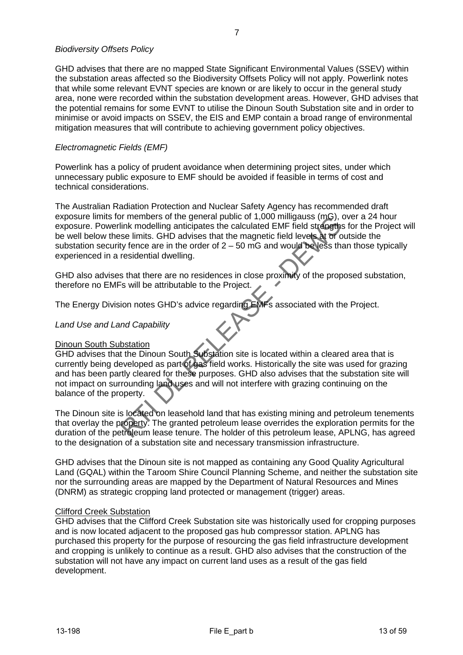#### *Biodiversity Offsets Policy*

GHD advises that there are no mapped State Significant Environmental Values (SSEV) within the substation areas affected so the Biodiversity Offsets Policy will not apply. Powerlink notes that while some relevant EVNT species are known or are likely to occur in the general study area, none were recorded within the substation development areas. However, GHD advises that the potential remains for some EVNT to utilise the Dinoun South Substation site and in order to minimise or avoid impacts on SSEV, the EIS and EMP contain a broad range of environmental mitigation measures that will contribute to achieving government policy objectives.

#### *Electromagnetic Fields (EMF)*

Powerlink has a policy of prudent avoidance when determining project sites, under which unnecessary public exposure to EMF should be avoided if feasible in terms of cost and technical considerations.

The Australian Radiation Protection and Nuclear Safety Agency has recommended draft exposure limits for members of the general public of 1,000 milligauss (mG), over a 24 hour exposure. Powerlink modelling anticipates the calculated EMF field strengths for the Project will be well below these limits. GHD advises that the magnetic field levels at or outside the substation security fence are in the order of  $2 - 50$  mG and would be less than those typically experienced in a residential dwelling.

GHD also advises that there are no residences in close proximity of the proposed substation, therefore no EMFs will be attributable to the Project.

The Energy Division notes GHD's advice regarding EMFs associated with the Project.

#### *Land Use and Land Capability*

#### Dinoun South Substation

GHD advises that the Dinoun South Substation site is located within a cleared area that is currently being developed as part of gas field works. Historically the site was used for grazing and has been partly cleared for these purposes. GHD also advises that the substation site will not impact on surrounding land uses and will not interfere with grazing continuing on the balance of the property.

The Dinoun site is located on leasehold land that has existing mining and petroleum tenements that overlay the property. The granted petroleum lease overrides the exploration permits for the duration of the petroleum lease tenure. The holder of this petroleum lease, APLNG, has agreed to the designation of a substation site and necessary transmission infrastructure.

GHD advises that the Dinoun site is not mapped as containing any Good Quality Agricultural Land (GQAL) within the Taroom Shire Council Planning Scheme, and neither the substation site nor the surrounding areas are mapped by the Department of Natural Resources and Mines (DNRM) as strategic cropping land protected or management (trigger) areas.

#### Clifford Creek Substation

GHD advises that the Clifford Creek Substation site was historically used for cropping purposes and is now located adjacent to the proposed gas hub compressor station. APLNG has purchased this property for the purpose of resourcing the gas field infrastructure development and cropping is unlikely to continue as a result. GHD also advises that the construction of the substation will not have any impact on current land uses as a result of the gas field development. by a state of the model of the electronic of the state of the constrained by the constrained the constrained the constrained the model by the state of the Frederical properties in the model by the state of the model of the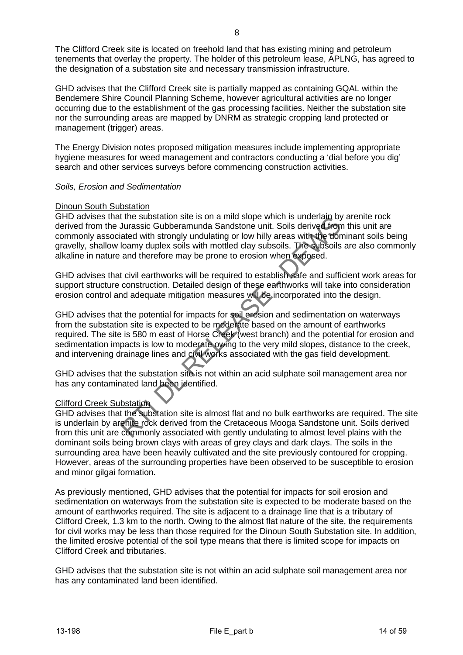GHD advises that the Clifford Creek site is partially mapped as containing GQAL within the Bendemere Shire Council Planning Scheme, however agricultural activities are no longer occurring due to the establishment of the gas processing facilities. Neither the substation site nor the surrounding areas are mapped by DNRM as strategic cropping land protected or management (trigger) areas.

The Energy Division notes proposed mitigation measures include implementing appropriate hygiene measures for weed management and contractors conducting a 'dial before you dig' search and other services surveys before commencing construction activities.

#### *Soils, Erosion and Sedimentation*

#### Dinoun South Substation

GHD advises that the substation site is on a mild slope which is underlain by arenite rock derived from the Jurassic Gubberamunda Sandstone unit. Soils derived from this unit are commonly associated with strongly undulating or low hilly areas with the dominant soils being gravelly, shallow loamy duplex soils with mottled clay subsoils. The subsoils are also commonly alkaline in nature and therefore may be prone to erosion when exposed.

GHD advises that civil earthworks will be required to establish safe and sufficient work areas for support structure construction. Detailed design of these earthworks will take into consideration erosion control and adequate mitigation measures will be incorporated into the design.

GHD advises that the potential for impacts for soil erosion and sedimentation on waterways from the substation site is expected to be moderate based on the amount of earthworks required. The site is 580 m east of Horse Creek (west branch) and the potential for erosion and sedimentation impacts is low to moderate owing to the very mild slopes, distance to the creek, and intervening drainage lines and civil works associated with the gas field development.

GHD advises that the substation site is not within an acid sulphate soil management area nor has any contaminated land been identified.

#### Clifford Creek Substation

GHD advises that the substation site is almost flat and no bulk earthworks are required. The site is underlain by arenite rock derived from the Cretaceous Mooga Sandstone unit. Soils derived from this unit are commonly associated with gently undulating to almost level plains with the dominant soils being brown clays with areas of grey clays and dark clays. The soils in the surrounding area have been heavily cultivated and the site previously contoured for cropping. However, areas of the surrounding properties have been observed to be susceptible to erosion and minor gilgai formation. GHD abuses that all the substantial of the bused with the same substantial of the bused with the bused with the bused with the bused with the bused with the matter of the hard the state with the properties of the state of

As previously mentioned, GHD advises that the potential for impacts for soil erosion and sedimentation on waterways from the substation site is expected to be moderate based on the amount of earthworks required. The site is adjacent to a drainage line that is a tributary of Clifford Creek, 1.3 km to the north. Owing to the almost flat nature of the site, the requirements for civil works may be less than those required for the Dinoun South Substation site. In addition, the limited erosive potential of the soil type means that there is limited scope for impacts on Clifford Creek and tributaries.

GHD advises that the substation site is not within an acid sulphate soil management area nor has any contaminated land been identified.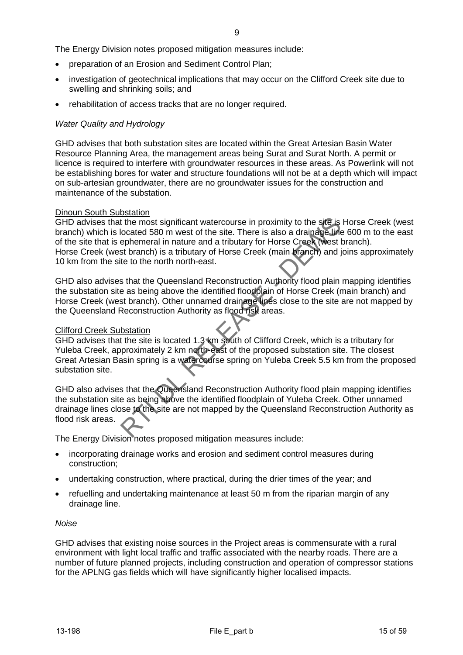The Energy Division notes proposed mitigation measures include:

- preparation of an Erosion and Sediment Control Plan;
- investigation of geotechnical implications that may occur on the Clifford Creek site due to swelling and shrinking soils; and
- rehabilitation of access tracks that are no longer required.

#### *Water Quality and Hydrology*

GHD advises that both substation sites are located within the Great Artesian Basin Water Resource Planning Area, the management areas being Surat and Surat North. A permit or licence is required to interfere with groundwater resources in these areas. As Powerlink will not be establishing bores for water and structure foundations will not be at a depth which will impact on sub-artesian groundwater, there are no groundwater issues for the construction and maintenance of the substation.

#### Dinoun South Substation

GHD advises that the most significant watercourse in proximity to the site is Horse Creek (west branch) which is located 580 m west of the site. There is also a drainage line 600 m to the east of the site that is ephemeral in nature and a tributary for Horse Creek (west branch). Horse Creek (west branch) is a tributary of Horse Creek (main branch) and joins approximately 10 km from the site to the north north-east. GHD advises that the most significant waterouses in proximity to the signs, Horse Cek (we<br>are the most signs and influence of the site. There is also a draighgable 600 m to the earth of the site that is aphrometrin nature

GHD also advises that the Queensland Reconstruction Authority flood plain mapping identifies the substation site as being above the identified floodplain of Horse Creek (main branch) and Horse Creek (west branch). Other unnamed drainage lines close to the site are not mapped by the Queensland Reconstruction Authority as flood risk areas.

#### Clifford Creek Substation

GHD advises that the site is located 1.3 km south of Clifford Creek, which is a tributary for Yuleba Creek, approximately 2 km north-east of the proposed substation site. The closest Great Artesian Basin spring is a watercourse spring on Yuleba Creek 5.5 km from the proposed substation site.

GHD also advises that the Queensland Reconstruction Authority flood plain mapping identifies the substation site as being above the identified floodplain of Yuleba Creek. Other unnamed drainage lines close to the site are not mapped by the Queensland Reconstruction Authority as flood risk areas.

The Energy Division notes proposed mitigation measures include:

- incorporating drainage works and erosion and sediment control measures during construction;
- x undertaking construction, where practical, during the drier times of the year; and
- x refuelling and undertaking maintenance at least 50 m from the riparian margin of any drainage line.

#### *Noise*

GHD advises that existing noise sources in the Project areas is commensurate with a rural environment with light local traffic and traffic associated with the nearby roads. There are a number of future planned projects, including construction and operation of compressor stations for the APLNG gas fields which will have significantly higher localised impacts.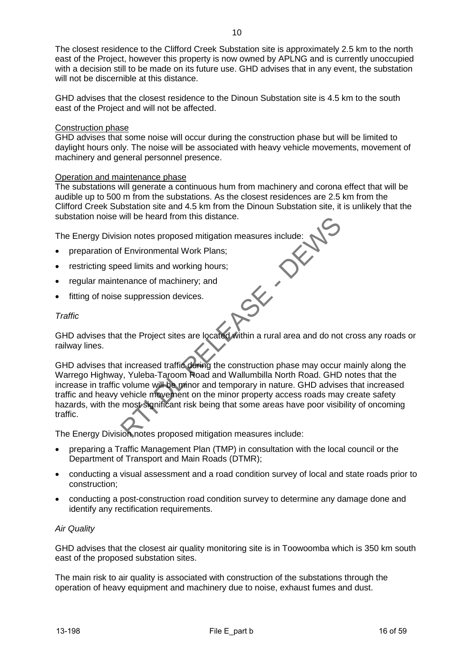The closest residence to the Clifford Creek Substation site is approximately 2.5 km to the north east of the Project, however this property is now owned by APLNG and is currently unoccupied with a decision still to be made on its future use. GHD advises that in any event, the substation will not be discernible at this distance.

GHD advises that the closest residence to the Dinoun Substation site is 4.5 km to the south east of the Project and will not be affected.

#### Construction phase

GHD advises that some noise will occur during the construction phase but will be limited to daylight hours only. The noise will be associated with heavy vehicle movements, movement of machinery and general personnel presence.

#### Operation and maintenance phase

The substations will generate a continuous hum from machinery and corona effect that will be audible up to 500 m from the substations. As the closest residences are 2.5 km from the Clifford Creek Substation site and 4.5 km from the Dinoun Substation site, it is unlikely that the substation noise will be heard from this distance.

The Energy Division notes proposed mitigation measures include:<br>
• preparation of Environmental Work Plans;<br>
• restricting speed limits and working hours;<br>
• regular maintenance of machinery; and<br>
• fitting of noise suppre

- preparation of Environmental Work Plans;
- restricting speed limits and working hours;
- regular maintenance of machinery; and
- fitting of noise suppression devices.

#### *Traffic*

GHD advises that the Project sites are located within a rural area and do not cross any roads or railway lines.

GHD advises that increased traffic during the construction phase may occur mainly along the Warrego Highway, Yuleba-Taroom Road and Wallumbilla North Road. GHD notes that the increase in traffic volume will be minor and temporary in nature. GHD advises that increased traffic and heavy vehicle movement on the minor property access roads may create safety hazards, with the most significant risk being that some areas have poor visibility of oncoming traffic. structure with the relation of the mean of the mean of the mean measures include:<br>
The Energar Division modes proposed mitigation measures include:<br>
• repraration of Environmental Work Plans;<br>
• filting of noise suppressio

The Energy Division notes proposed mitigation measures include:

- x preparing a Traffic Management Plan (TMP) in consultation with the local council or the Department of Transport and Main Roads (DTMR);
- x conducting a visual assessment and a road condition survey of local and state roads prior to construction;
- x conducting a post-construction road condition survey to determine any damage done and identify any rectification requirements.

#### *Air Quality*

GHD advises that the closest air quality monitoring site is in Toowoomba which is 350 km south east of the proposed substation sites.

The main risk to air quality is associated with construction of the substations through the operation of heavy equipment and machinery due to noise, exhaust fumes and dust.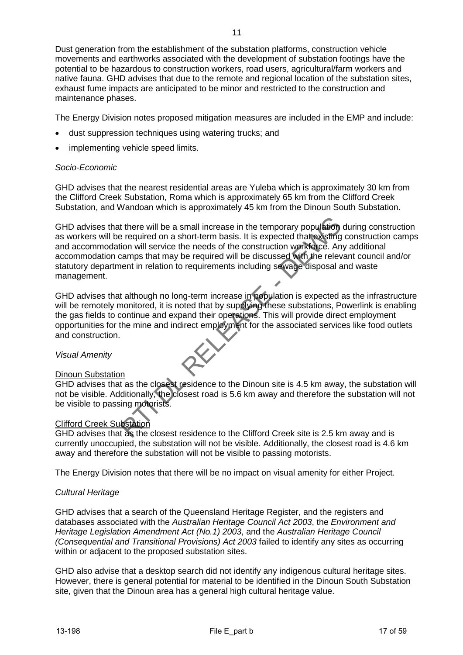Dust generation from the establishment of the substation platforms, construction vehicle movements and earthworks associated with the development of substation footings have the potential to be hazardous to construction workers, road users, agricultural/farm workers and native fauna. GHD advises that due to the remote and regional location of the substation sites, exhaust fume impacts are anticipated to be minor and restricted to the construction and maintenance phases.

The Energy Division notes proposed mitigation measures are included in the EMP and include:

- dust suppression techniques using watering trucks; and
- implementing vehicle speed limits.

#### *Socio-Economic*

GHD advises that the nearest residential areas are Yuleba which is approximately 30 km from the Clifford Creek Substation, Roma which is approximately 65 km from the Clifford Creek Substation, and Wandoan which is approximately 45 km from the Dinoun South Substation.

GHD advises that there will be a small increase in the temporary population during construction as workers will be required on a short-term basis. It is expected that existing construction camps and accommodation will service the needs of the construction workforce. Any additional accommodation camps that may be required will be discussed with the relevant council and/or statutory department in relation to requirements including sewage disposal and waste management. GHD advises that there will be a small increase in the temporary population dominates and worker will be nearbord on a short-term basis. It is expected the realized correct including construction and and the nearbord on a

GHD advises that although no long-term increase in population is expected as the infrastructure will be remotely monitored, it is noted that by supplying these substations, Powerlink is enabling the gas fields to continue and expand their operations. This will provide direct employment opportunities for the mine and indirect employment for the associated services like food outlets and construction.

*Visual Amenity*

#### Dinoun Substation

GHD advises that as the closest residence to the Dinoun site is 4.5 km away, the substation will not be visible. Additionally, the closest road is 5.6 km away and therefore the substation will not be visible to passing motorists.

#### Clifford Creek Substation

GHD advises that as the closest residence to the Clifford Creek site is 2.5 km away and is currently unoccupied, the substation will not be visible. Additionally, the closest road is 4.6 km away and therefore the substation will not be visible to passing motorists.

The Energy Division notes that there will be no impact on visual amenity for either Project.

#### *Cultural Heritage*

GHD advises that a search of the Queensland Heritage Register, and the registers and databases associated with the *Australian Heritage Council Act 2003*, the *Environment and Heritage Legislation Amendment Act (No.1) 2003*, and the *Australian Heritage Council (Consequential and Transitional Provisions) Act 2003* failed to identify any sites as occurring within or adjacent to the proposed substation sites.

GHD also advise that a desktop search did not identify any indigenous cultural heritage sites. However, there is general potential for material to be identified in the Dinoun South Substation site, given that the Dinoun area has a general high cultural heritage value.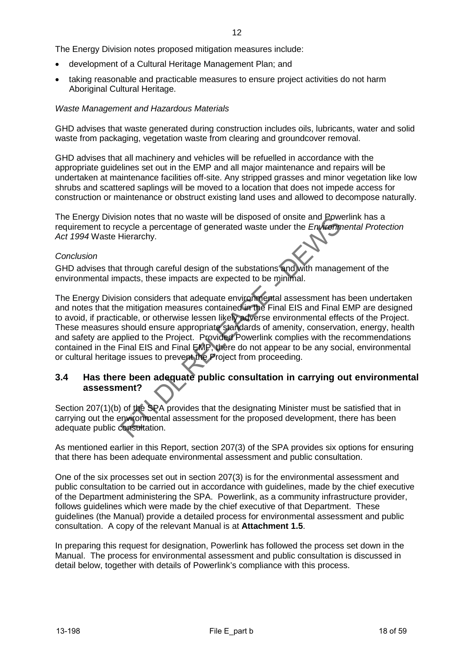The Energy Division notes proposed mitigation measures include:

- development of a Cultural Heritage Management Plan; and
- taking reasonable and practicable measures to ensure project activities do not harm Aboriginal Cultural Heritage.

#### *Waste Management and Hazardous Materials*

GHD advises that waste generated during construction includes oils, lubricants, water and solid waste from packaging, vegetation waste from clearing and groundcover removal.

GHD advises that all machinery and vehicles will be refuelled in accordance with the appropriate guidelines set out in the EMP and all major maintenance and repairs will be undertaken at maintenance facilities off-site. Any stripped grasses and minor vegetation like low shrubs and scattered saplings will be moved to a location that does not impede access for construction or maintenance or obstruct existing land uses and allowed to decompose naturally.

The Energy Division notes that no waste will be disposed of onsite and Powerlink has a requirement to recycle a percentage of generated waste under the *Environmental Protection Act 1994* Waste Hierarchy.

#### *Conclusion*

GHD advises that through careful design of the substations and with management of the environmental impacts, these impacts are expected to be minimal.

The Energy Division considers that adequate environmental assessment has been undertaken and notes that the mitigation measures contained in the Final EIS and Final EMP are designed to avoid, if practicable, or otherwise lessen likely adverse environmental effects of the Project. These measures should ensure appropriate standards of amenity, conservation, energy, health and safety are applied to the Project. Provided Powerlink complies with the recommendations contained in the Final EIS and Final EMP, there do not appear to be any social, environmental or cultural heritage issues to prevent the Project from proceeding. The Energy Unisian for exacts mathematics and provides the angle of onsite and providents. The Change of the substations of the substations of the Energy Division considers that adequate the production of the Changement of

#### **3.4 Has there been adequate public consultation in carrying out environmental assessment?**

Section 207(1)(b) of the SPA provides that the designating Minister must be satisfied that in carrying out the environmental assessment for the proposed development, there has been adequate public consultation.

As mentioned earlier in this Report, section 207(3) of the SPA provides six options for ensuring that there has been adequate environmental assessment and public consultation.

One of the six processes set out in section 207(3) is for the environmental assessment and public consultation to be carried out in accordance with guidelines, made by the chief executive of the Department administering the SPA. Powerlink, as a community infrastructure provider, follows guidelines which were made by the chief executive of that Department. These guidelines (the Manual) provide a detailed process for environmental assessment and public consultation. A copy of the relevant Manual is at **Attachment 1.5**.

In preparing this request for designation, Powerlink has followed the process set down in the Manual. The process for environmental assessment and public consultation is discussed in detail below, together with details of Powerlink's compliance with this process.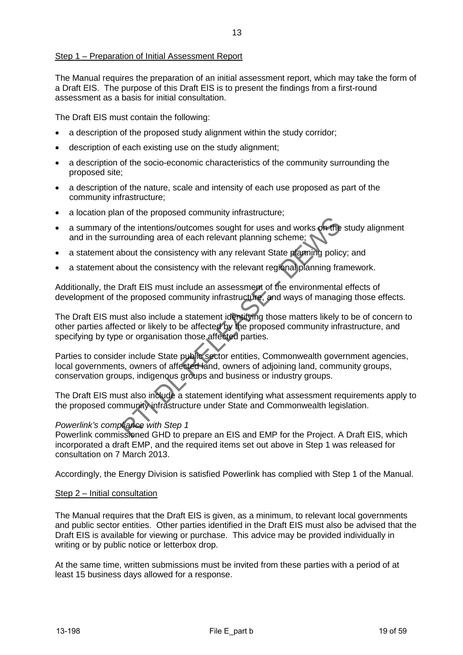#### Step 1 – Preparation of Initial Assessment Report

The Manual requires the preparation of an initial assessment report, which may take the form of a Draft EIS. The purpose of this Draft EIS is to present the findings from a first-round assessment as a basis for initial consultation.

The Draft EIS must contain the following:

- a description of the proposed study alignment within the study corridor;
- description of each existing use on the study alignment;
- a description of the socio-economic characteristics of the community surrounding the proposed site;
- a description of the nature, scale and intensity of each use proposed as part of the community infrastructure;
- a location plan of the proposed community infrastructure;
- a summary of the intentions/outcomes sought for uses and works on the study alignment and in the surrounding area of each relevant planning scheme;
- a statement about the consistency with any relevant State planning policy; and
- a statement about the consistency with the relevant regional planning framework.

Additionally, the Draft EIS must include an assessment of the environmental effects of development of the proposed community infrastructure, and ways of managing those effects.

The Draft EIS must also include a statement identifying those matters likely to be of concern to other parties affected or likely to be affected by the proposed community infrastructure, and specifying by type or organisation those affected parties.

Parties to consider include State public sector entities, Commonwealth government agencies, local governments, owners of affected land, owners of adjoining land, community groups, conservation groups, indigenous groups and business or industry groups.

The Draft EIS must also include a statement identifying what assessment requirements apply to the proposed community infrastructure under State and Commonwealth legislation.

#### *Powerlink's compliance with Step 1*

Powerlink commissioned GHD to prepare an EIS and EMP for the Project. A Draft EIS, which incorporated a draft EMP, and the required items set out above in Step 1 was released for consultation on 7 March 2013.

Accordingly, the Energy Division is satisfied Powerlink has complied with Step 1 of the Manual.

#### Step 2 – Initial consultation

The Manual requires that the Draft EIS is given, as a minimum, to relevant local governments and public sector entities. Other parties identified in the Draft EIS must also be advised that the Draft EIS is available for viewing or purchase. This advice may be provided individually in writing or by public notice or letterbox drop. • a summary of the intentions/outcomes sought for uses and works **of ortho** study alignment<br>
• a statement about the consistency with any relevant State positions, and<br>
• a statement about the consistency with any relevan

At the same time, written submissions must be invited from these parties with a period of at least 15 business days allowed for a response.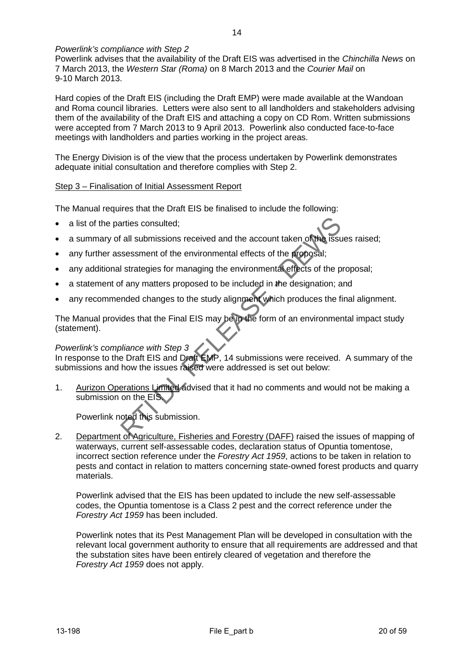#### *Powerlink's compliance with Step 2*

Powerlink advises that the availability of the Draft EIS was advertised in the *Chinchilla News* on 7 March 2013, the *Western Star (Roma)* on 8 March 2013 and the *Courier Mail* on 9-10 March 2013.

Hard copies of the Draft EIS (including the Draft EMP) were made available at the Wandoan and Roma council libraries. Letters were also sent to all landholders and stakeholders advising them of the availability of the Draft EIS and attaching a copy on CD Rom. Written submissions were accepted from 7 March 2013 to 9 April 2013. Powerlink also conducted face-to-face meetings with landholders and parties working in the project areas.

The Energy Division is of the view that the process undertaken by Powerlink demonstrates adequate initial consultation and therefore complies with Step 2.

#### Step 3 – Finalisation of Initial Assessment Report

The Manual requires that the Draft EIS be finalised to include the following:

- a list of the parties consulted;
- a summary of all submissions received and the account taken of the issues raised;
- any further assessment of the environmental effects of the proposal;
- any additional strategies for managing the environmental effects of the proposal;
- a statement of any matters proposed to be included in the designation; and
- any recommended changes to the study alignment which produces the final alignment.

The Manual provides that the Final EIS may be in the form of an environmental impact study (statement).

#### *Powerlink's compliance with Step 3*

In response to the Draft EIS and Draft EMP, 14 submissions were received. A summary of the submissions and how the issues raised were addressed is set out below:

1. Aurizon Operations Limited advised that it had no comments and would not be making a submission on the EIS

Powerlink noted this submission.

2. Department of Agriculture, Fisheries and Forestry (DAFF) raised the issues of mapping of waterways, current self-assessable codes, declaration status of Opuntia tomentose, incorrect section reference under the *Forestry Act 1959*, actions to be taken in relation to pests and contact in relation to matters concerning state-owned forest products and quarry materials. **a** list of the parties consulted;<br> **a** summary of all submissions received and the account taken of the suces raised;<br> **a** summary of all submissions for environmental effects of the proposal;<br> **a** surp varieties for man

Powerlink advised that the EIS has been updated to include the new self-assessable codes, the Opuntia tomentose is a Class 2 pest and the correct reference under the *Forestry Act 1959* has been included.

Powerlink notes that its Pest Management Plan will be developed in consultation with the relevant local government authority to ensure that all requirements are addressed and that the substation sites have been entirely cleared of vegetation and therefore the *Forestry Act 1959* does not apply.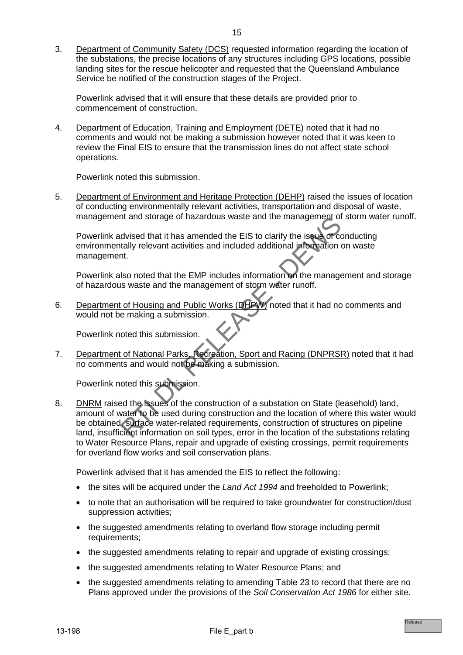3. Department of Community Safety (DCS) requested information regarding the location of the substations, the precise locations of any structures including GPS locations, possible landing sites for the rescue helicopter and requested that the Queensland Ambulance Service be notified of the construction stages of the Project.

Powerlink advised that it will ensure that these details are provided prior to commencement of construction.

4. Department of Education, Training and Employment (DETE) noted that it had no comments and would not be making a submission however noted that it was keen to review the Final EIS to ensure that the transmission lines do not affect state school operations.

Powerlink noted this submission.

5. Department of Environment and Heritage Protection (DEHP) raised the issues of location of conducting environmentally relevant activities, transportation and disposal of waste, management and storage of hazardous waste and the management of storm water runoff.

Powerlink advised that it has amended the EIS to clarify the issue of conducting environmentally relevant activities and included additional information on waste management.

Powerlink also noted that the EMP includes information on the management and storage of hazardous waste and the management of storm water runoff.

6. Department of Housing and Public Works (DHPW) noted that it had no comments and would not be making a submission.

Powerlink noted this submission.

7. Department of National Parks, Recreation, Sport and Racing (DNPRSR) noted that it had no comments and would not be making a submission.

Powerlink noted this submission.

8. DNRM raised the issues of the construction of a substation on State (leasehold) land, amount of water to be used during construction and the location of where this water would be obtained, surface water-related requirements, construction of structures on pipeline land, insufficient information on soil types, error in the location of the substations relating to Water Resource Plans, repair and upgrade of existing crossings, permit requirements for overland flow works and soil conservation plans. Than agention and solonge of nazaroolos waster and the management of the sweet ride<br>
Forwinformer and the control the ELS to clarify the issue of conducting<br>
environmentally relevant activities and included additional jab

Powerlink advised that it has amended the EIS to reflect the following:

- the sites will be acquired under the *Land Act 1994* and freeholded to Powerlink:
- to note that an authorisation will be required to take groundwater for construction/dust suppression activities;
- the suggested amendments relating to overland flow storage including permit requirements;
- the suggested amendments relating to repair and upgrade of existing crossings;
- the suggested amendments relating to Water Resource Plans; and
- the suggested amendments relating to amending Table 23 to record that there are no Plans approved under the provisions of the *Soil Conservation Act 1986* for either site.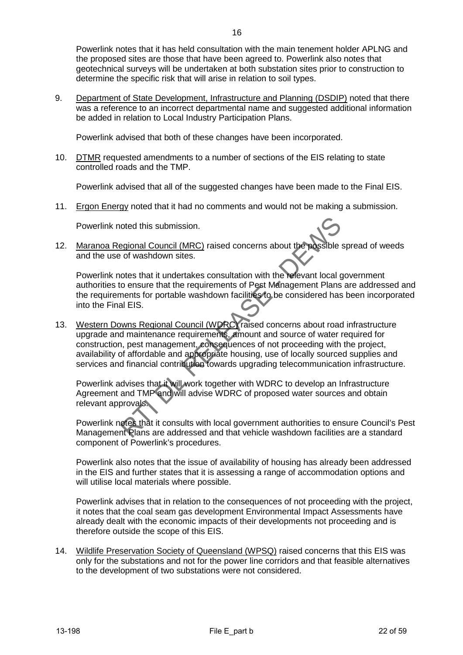Powerlink notes that it has held consultation with the main tenement holder APLNG and the proposed sites are those that have been agreed to. Powerlink also notes that geotechnical surveys will be undertaken at both substation sites prior to construction to determine the specific risk that will arise in relation to soil types.

9. Department of State Development, Infrastructure and Planning (DSDIP) noted that there was a reference to an incorrect departmental name and suggested additional information be added in relation to Local Industry Participation Plans.

Powerlink advised that both of these changes have been incorporated.

10. DTMR requested amendments to a number of sections of the EIS relating to state controlled roads and the TMP.

Powerlink advised that all of the suggested changes have been made to the Final EIS.

11. Ergon Energy noted that it had no comments and would not be making a submission.

Powerlink noted this submission.

12. Maranoa Regional Council (MRC) raised concerns about the possible spread of weeds and the use of washdown sites.

Powerlink notes that it undertakes consultation with the relevant local government authorities to ensure that the requirements of Pest Management Plans are addressed and the requirements for portable washdown facilities to be considered has been incorporated into the Final EIS.

13. Western Downs Regional Council (WDRC) raised concerns about road infrastructure upgrade and maintenance requirements, amount and source of water required for construction, pest management, consequences of not proceeding with the project, availability of affordable and appropriate housing, use of locally sourced supplies and services and financial contribution towards upgrading telecommunication infrastructure. Powerlink noted this submission.<br>
12. Maranoa Regional Council (MRC) reised concerns about throughed spread of weeds<br>
and the use of washdown slies.<br>
Towerlink notes that it undertakes consultation with the velocient loca

Powerlink advises that it will work together with WDRC to develop an Infrastructure Agreement and TMP and will advise WDRC of proposed water sources and obtain relevant approvals.

Powerlink notes that it consults with local government authorities to ensure Council's Pest Management Plans are addressed and that vehicle washdown facilities are a standard component of Powerlink's procedures.

Powerlink also notes that the issue of availability of housing has already been addressed in the EIS and further states that it is assessing a range of accommodation options and will utilise local materials where possible.

Powerlink advises that in relation to the consequences of not proceeding with the project, it notes that the coal seam gas development Environmental Impact Assessments have already dealt with the economic impacts of their developments not proceeding and is therefore outside the scope of this EIS.

14. Wildlife Preservation Society of Queensland (WPSQ) raised concerns that this EIS was only for the substations and not for the power line corridors and that feasible alternatives to the development of two substations were not considered.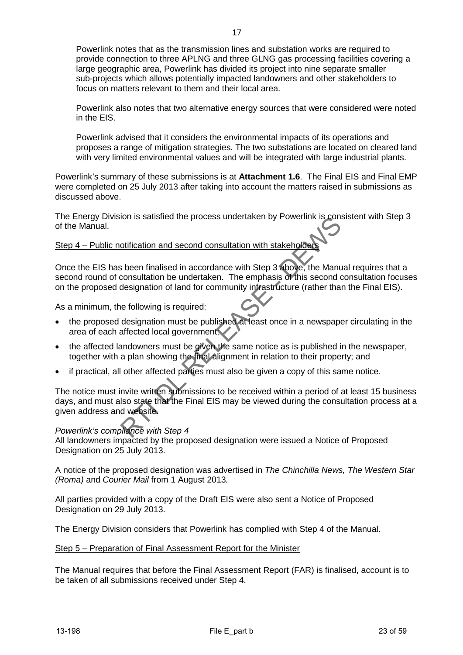Powerlink notes that as the transmission lines and substation works are required to provide connection to three APLNG and three GLNG gas processing facilities covering a large geographic area, Powerlink has divided its project into nine separate smaller sub-projects which allows potentially impacted landowners and other stakeholders to focus on matters relevant to them and their local area.

Powerlink also notes that two alternative energy sources that were considered were noted in the EIS.

Powerlink advised that it considers the environmental impacts of its operations and proposes a range of mitigation strategies. The two substations are located on cleared land with very limited environmental values and will be integrated with large industrial plants.

Powerlink's summary of these submissions is at **Attachment 1.6**. The Final EIS and Final EMP were completed on 25 July 2013 after taking into account the matters raised in submissions as discussed above.

The Energy Division is satisfied the process undertaken by Powerlink is consistent with Step 3 of the Manual.

#### Step 4 – Public notification and second consultation with stakeholder

Once the EIS has been finalised in accordance with Step 3 above, the Manual requires that a second round of consultation be undertaken. The emphasis of this second consultation focuses on the proposed designation of land for community infrastructure (rather than the Final EIS).

As a minimum, the following is required:

- the proposed designation must be published at least once in a newspaper circulating in the area of each affected local government;
- the affected landowners must be given the same notice as is published in the newspaper, together with a plan showing the final alignment in relation to their property; and
- if practical, all other affected parties must also be given a copy of this same notice.

The notice must invite written submissions to be received within a period of at least 15 business days, and must also state that the Final EIS may be viewed during the consultation process at a given address and website. The Energy browston is statistical of the process undertaken by Powerink is statistical with step<br>
Step 4 – Public indifferention and second consultation with statistical of the Manual requires that<br>
Step 4 – Public indiff

#### *Powerlink's compliance with Step 4*

All landowners impacted by the proposed designation were issued a Notice of Proposed Designation on 25 July 2013.

A notice of the proposed designation was advertised in *The Chinchilla News, The Western Star (Roma)* and *Courier Mail* from 1 August 2013*.*

All parties provided with a copy of the Draft EIS were also sent a Notice of Proposed Designation on 29 July 2013.

The Energy Division considers that Powerlink has complied with Step 4 of the Manual.

#### Step 5 – Preparation of Final Assessment Report for the Minister

The Manual requires that before the Final Assessment Report (FAR) is finalised, account is to be taken of all submissions received under Step 4.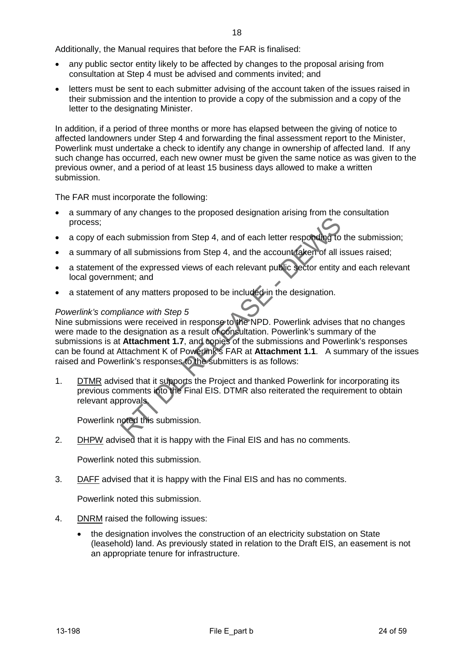- any public sector entity likely to be affected by changes to the proposal arising from consultation at Step 4 must be advised and comments invited; and
- letters must be sent to each submitter advising of the account taken of the issues raised in their submission and the intention to provide a copy of the submission and a copy of the letter to the designating Minister.

In addition, if a period of three months or more has elapsed between the giving of notice to affected landowners under Step 4 and forwarding the final assessment report to the Minister, Powerlink must undertake a check to identify any change in ownership of affected land. If any such change has occurred, each new owner must be given the same notice as was given to the previous owner, and a period of at least 15 business days allowed to make a written submission.

The FAR must incorporate the following:

- a summary of any changes to the proposed designation arising from the consultation process;
- a copy of each submission from Step 4, and of each letter responding to the submission;
- a summary of all submissions from Step 4, and the account taken of all issues raised;
- a statement of the expressed views of each relevant public sector entity and each relevant local government; and
- a statement of any matters proposed to be included in the designation.

#### *Powerlink's compliance with Step 5*

Nine submissions were received in response to the NPD. Powerlink advises that no changes were made to the designation as a result of consultation. Powerlink's summary of the submissions is at **Attachment 1.7**, and copies of the submissions and Powerlink's responses can be found at Attachment K of Powerlink's FAR at **Attachment 1.1**. A summary of the issues raised and Powerlink's responses to the submitters is as follows: process:<br>  $\frac{1}{2}$  a cocy of each submission from Step 4, and of each letter respect of the submission;<br> **a** summary of all submissions from Step 4, and the account  $\frac{1}{2}$  and the account  $\frac{1}{2}$  and the account  $\frac$ 

1. DTMR advised that it supports the Project and thanked Powerlink for incorporating its previous comments into the Final EIS. DTMR also reiterated the requirement to obtain relevant approvals.

Powerlink noted this submission.

2. DHPW advised that it is happy with the Final EIS and has no comments.

Powerlink noted this submission.

3. DAFF advised that it is happy with the Final EIS and has no comments.

Powerlink noted this submission.

- 4. DNRM raised the following issues:
	- the designation involves the construction of an electricity substation on State (leasehold) land. As previously stated in relation to the Draft EIS, an easement is not an appropriate tenure for infrastructure.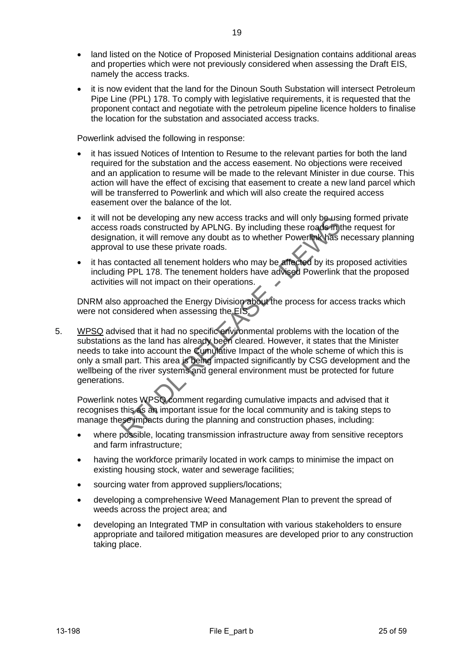- land listed on the Notice of Proposed Ministerial Designation contains additional areas and properties which were not previously considered when assessing the Draft EIS, namely the access tracks.
- it is now evident that the land for the Dinoun South Substation will intersect Petroleum Pipe Line (PPL) 178. To comply with legislative requirements, it is requested that the proponent contact and negotiate with the petroleum pipeline licence holders to finalise the location for the substation and associated access tracks.

Powerlink advised the following in response:

- it has issued Notices of Intention to Resume to the relevant parties for both the land required for the substation and the access easement. No objections were received and an application to resume will be made to the relevant Minister in due course. This action will have the effect of excising that easement to create a new land parcel which will be transferred to Powerlink and which will also create the required access easement over the balance of the lot.
- it will not be developing any new access tracks and will only be using formed private access roads constructed by APLNG. By including these roads in the request for designation, it will remove any doubt as to whether Powerlink has necessary planning approval to use these private roads.
- it has contacted all tenement holders who may be affected by its proposed activities including PPL 178. The tenement holders have advised Powerlink that the proposed activities will not impact on their operations.

DNRM also approached the Energy Division about the process for access tracks which were not considered when assessing the EIS.

5. WPSQ advised that it had no specific environmental problems with the location of the substations as the land has already been cleared. However, it states that the Minister needs to take into account the Cumulative Impact of the whole scheme of which this is only a small part. This area is being impacted significantly by CSG development and the wellbeing of the river systems and general environment must be protected for future generations. 12.198 File developing any new access tracks and will only be user and will consider the princip measure and consider and will remove any double as to whether Power man designation, it will remove any double as to whether

Powerlink notes WPSQ comment regarding cumulative impacts and advised that it recognises this as an important issue for the local community and is taking steps to manage these impacts during the planning and construction phases, including:

- where possible, locating transmission infrastructure away from sensitive receptors and farm infrastructure;
- having the workforce primarily located in work camps to minimise the impact on existing housing stock, water and sewerage facilities;
- sourcing water from approved suppliers/locations;
- developing a comprehensive Weed Management Plan to prevent the spread of weeds across the project area; and
- developing an Integrated TMP in consultation with various stakeholders to ensure appropriate and tailored mitigation measures are developed prior to any construction taking place.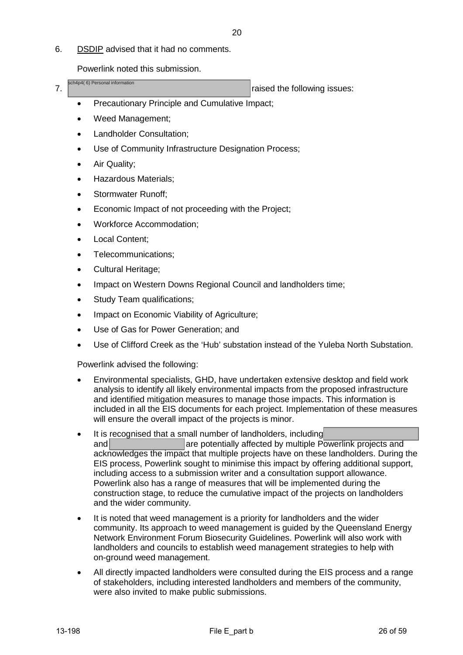6. DSDIP advised that it had no comments.

Powerlink noted this submission.

7. The contract of the following issues:

- Precautionary Principle and Cumulative Impact;
- Weed Management:
- Landholder Consultation:
- Use of Community Infrastructure Designation Process;
- Air Quality;

sch4p4( 6) Personal information

- Hazardous Materials:
- Stormwater Runoff:
- Economic Impact of not proceeding with the Project;
- Workforce Accommodation;
- Local Content:
- Telecommunications;
- Cultural Heritage;
- Impact on Western Downs Regional Council and landholders time;
- Study Team qualifications;
- Impact on Economic Viability of Agriculture;
- Use of Gas for Power Generation; and
- Use of Clifford Creek as the 'Hub' substation instead of the Yuleba North Substation.

Powerlink advised the following:

- x Environmental specialists, GHD, have undertaken extensive desktop and field work analysis to identify all likely environmental impacts from the proposed infrastructure and identified mitigation measures to manage those impacts. This information is included in all the EIS documents for each project. Implementation of these measures will ensure the overall impact of the projects is minor.
- It is recognised that a small number of landholders, including and are potentially affected by multiple Powerlink projects and acknowledges the impact that multiple projects have on these landholders. During the EIS process, Powerlink sought to minimise this impact by offering additional support, including access to a submission writer and a consultation support allowance. Powerlink also has a range of measures that will be implemented during the construction stage, to reduce the cumulative impact of the projects on landholders and the wider community. • Workforce Accommodation;<br>
• Loela Content,<br>
• Celetommunications;<br>
• Glutural Heritage;<br>
• Impact on Western Downs Regional Council and landholders time;<br>
• Study Team qualifications;<br>
• Impact on Economic Viabitity of
	- It is noted that weed management is a priority for landholders and the wider community. Its approach to weed management is guided by the Queensland Energy Network Environment Forum Biosecurity Guidelines. Powerlink will also work with landholders and councils to establish weed management strategies to help with on-ground weed management.
	- All directly impacted landholders were consulted during the EIS process and a range of stakeholders, including interested landholders and members of the community, were also invited to make public submissions.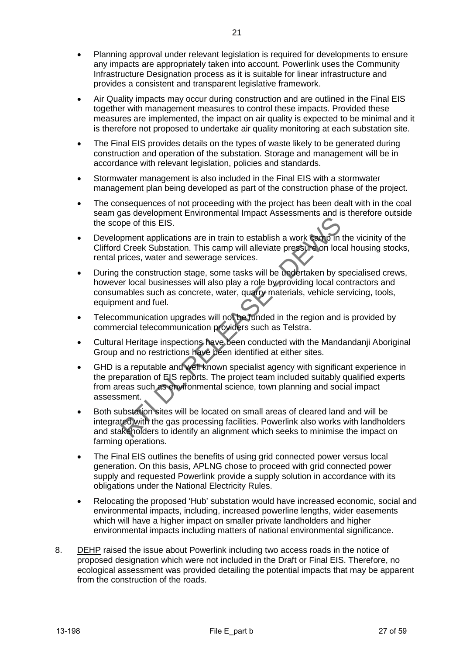- x Planning approval under relevant legislation is required for developments to ensure any impacts are appropriately taken into account. Powerlink uses the Community Infrastructure Designation process as it is suitable for linear infrastructure and provides a consistent and transparent legislative framework.
- Air Quality impacts may occur during construction and are outlined in the Final EIS together with management measures to control these impacts. Provided these measures are implemented, the impact on air quality is expected to be minimal and it is therefore not proposed to undertake air quality monitoring at each substation site.
- The Final EIS provides details on the types of waste likely to be generated during construction and operation of the substation. Storage and management will be in accordance with relevant legislation, policies and standards.
- Stormwater management is also included in the Final EIS with a stormwater management plan being developed as part of the construction phase of the project.
- The consequences of not proceeding with the project has been dealt with in the coal seam gas development Environmental Impact Assessments and is therefore outside the scope of this EIS.
- Development applications are in train to establish a work camp in the vicinity of the Clifford Creek Substation. This camp will alleviate pressure on local housing stocks, rental prices, water and sewerage services.
- During the construction stage, some tasks will be undertaken by specialised crews, however local businesses will also play a role by providing local contractors and consumables such as concrete, water, quarry materials, vehicle servicing, tools, equipment and fuel.
- Telecommunication upgrades will not be funded in the region and is provided by commercial telecommunication providers such as Telstra.
- Cultural Heritage inspections have been conducted with the Mandandanji Aboriginal Group and no restrictions have been identified at either sites.
- GHD is a reputable and well known specialist agency with significant experience in the preparation of EIS reports. The project team included suitably qualified experts from areas such as environmental science, town planning and social impact assessment.
- Both substation sites will be located on small areas of cleared land and will be integrated with the gas processing facilities. Powerlink also works with landholders and stakeholders to identify an alignment which seeks to minimise the impact on farming operations.
- The Final EIS outlines the benefits of using grid connected power versus local generation. On this basis, APLNG chose to proceed with grid connected power supply and requested Powerlink provide a supply solution in accordance with its obligations under the National Electricity Rules.
- Relocating the proposed 'Hub' substation would have increased economic, social and environmental impacts, including, increased powerline lengths, wider easements which will have a higher impact on smaller private landholders and higher environmental impacts including matters of national environmental significance.
- 8. DEHP raised the issue about Powerlink including two access roads in the notice of proposed designation which were not included in the Draft or Final EIS. Therefore, no ecological assessment was provided detailing the potential impacts that may be apparent from the construction of the roads. the scope of this EIS.<br>
Development applications are in train to establish a work explicit in the visiting of the Christman Columb Circlet Constant and Substitution This camp will alleviate procedure and substitution to th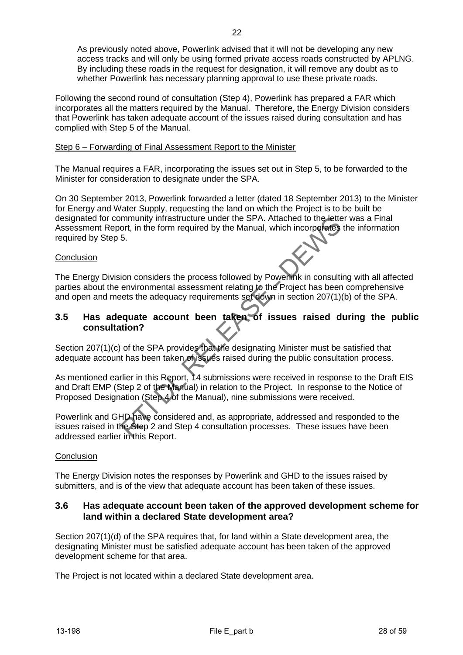As previously noted above, Powerlink advised that it will not be developing any new access tracks and will only be using formed private access roads constructed by APLNG. By including these roads in the request for designation, it will remove any doubt as to whether Powerlink has necessary planning approval to use these private roads.

Following the second round of consultation (Step 4), Powerlink has prepared a FAR which incorporates all the matters required by the Manual. Therefore, the Energy Division considers that Powerlink has taken adequate account of the issues raised during consultation and has complied with Step 5 of the Manual.

#### Step 6 – Forwarding of Final Assessment Report to the Minister

The Manual requires a FAR, incorporating the issues set out in Step 5, to be forwarded to the Minister for consideration to designate under the SPA.

On 30 September 2013, Powerlink forwarded a letter (dated 18 September 2013) to the Minister for Energy and Water Supply, requesting the land on which the Project is to be built be designated for community infrastructure under the SPA. Attached to the letter was a Final Assessment Report, in the form required by the Manual, which incorporates the information required by Step 5.

#### **Conclusion**

The Energy Division considers the process followed by Powerlink in consulting with all affected parties about the environmental assessment relating to the Project has been comprehensive and open and meets the adequacy requirements set down in section 207(1)(b) of the SPA. designated for community infrastructure under the SPA. Altached to higalistic and the meaning of the states are first the more states are the properties the information considers the process followed by Proventing, with al

#### **3.5 Has adequate account been taken of issues raised during the public consultation?**

Section 207(1)(c) of the SPA provides that the designating Minister must be satisfied that adequate account has been taken of issues raised during the public consultation process.

As mentioned earlier in this Report, 14 submissions were received in response to the Draft EIS and Draft EMP (Step 2 of the Manual) in relation to the Project. In response to the Notice of Proposed Designation (Step 4 of the Manual), nine submissions were received.

Powerlink and GHD have considered and, as appropriate, addressed and responded to the issues raised in the Step 2 and Step 4 consultation processes. These issues have been addressed earlier in this Report.

#### **Conclusion**

The Energy Division notes the responses by Powerlink and GHD to the issues raised by submitters, and is of the view that adequate account has been taken of these issues.

#### **3.6 Has adequate account been taken of the approved development scheme for land within a declared State development area?**

Section 207(1)(d) of the SPA requires that, for land within a State development area, the designating Minister must be satisfied adequate account has been taken of the approved development scheme for that area.

The Project is not located within a declared State development area.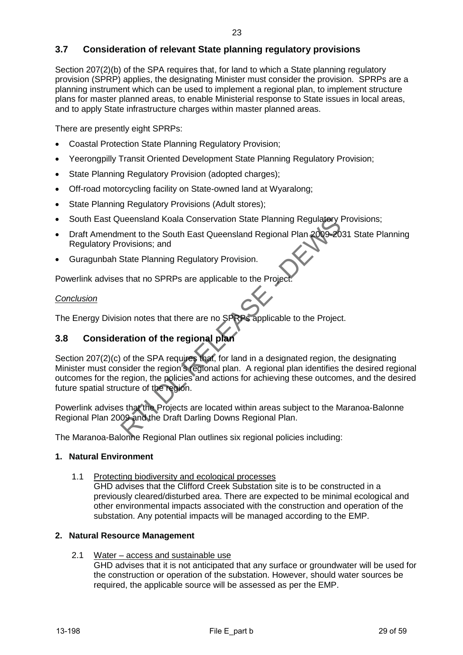# **3.7 Consideration of relevant State planning regulatory provisions**

Section 207(2)(b) of the SPA requires that, for land to which a State planning regulatory provision (SPRP) applies, the designating Minister must consider the provision. SPRPs are a planning instrument which can be used to implement a regional plan, to implement structure plans for master planned areas, to enable Ministerial response to State issues in local areas, and to apply State infrastructure charges within master planned areas.

There are presently eight SPRPs:

- Coastal Protection State Planning Regulatory Provision;
- Yeerongpilly Transit Oriented Development State Planning Regulatory Provision;
- State Planning Regulatory Provision (adopted charges);
- Off-road motorcycling facility on State-owned land at Wyaralong;
- State Planning Regulatory Provisions (Adult stores);
- South East Queensland Koala Conservation State Planning Regulatory Provisions;
- Draft Amendment to the South East Queensland Regional Plan 2009-2031 State Planning Regulatory Provisions; and
- Guragunbah State Planning Regulatory Provision.

Powerlink advises that no SPRPs are applicable to the Project

#### *Conclusion*

The Energy Division notes that there are no SPRPs applicable to the Project.

# **3.8 Consideration of the regional plan**

Section 207(2)(c) of the SPA requires that, for land in a designated region, the designating Minister must consider the region's regional plan. A regional plan identifies the desired regional outcomes for the region, the policies and actions for achieving these outcomes, and the desired future spatial structure of the region. • South East Queensland Reala Conservation State Planning Regulatory Provisions:<br>
13-198 Figure and Knowled Extra Conservation State Planning Regional Plan 2009-2031 State Planning<br>
13-6 Curagunban State Planning Regulat

Powerlink advises that the Projects are located within areas subject to the Maranoa-Balonne Regional Plan 2009 and the Draft Darling Downs Regional Plan.

The Maranoa-Balonne Regional Plan outlines six regional policies including:

#### **1. Natural Environment**

1.1 Protecting biodiversity and ecological processes

GHD advises that the Clifford Creek Substation site is to be constructed in a previously cleared/disturbed area. There are expected to be minimal ecological and other environmental impacts associated with the construction and operation of the substation. Any potential impacts will be managed according to the EMP.

#### **2. Natural Resource Management**

2.1 Water – access and sustainable use

GHD advises that it is not anticipated that any surface or groundwater will be used for the construction or operation of the substation. However, should water sources be required, the applicable source will be assessed as per the EMP.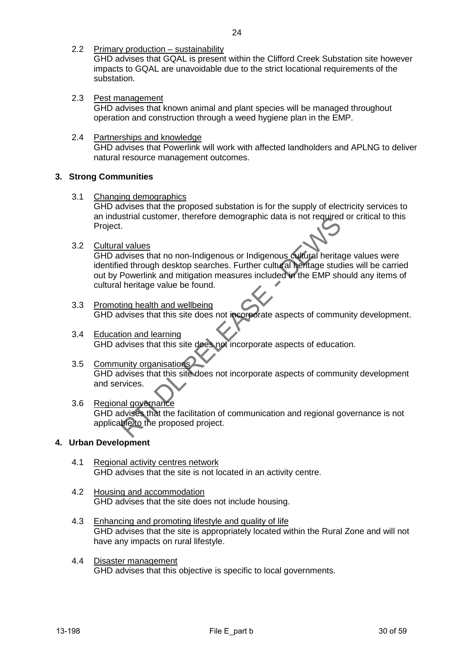- 2.2 Primary production sustainability GHD advises that GQAL is present within the Clifford Creek Substation site however impacts to GQAL are unavoidable due to the strict locational requirements of the substation.
- 2.3 Pest management GHD advises that known animal and plant species will be managed throughout operation and construction through a weed hygiene plan in the EMP.
- 2.4 Partnerships and knowledge GHD advises that Powerlink will work with affected landholders and APLNG to deliver natural resource management outcomes.

#### **3. Strong Communities**

#### 3.1 Changing demographics

GHD advises that the proposed substation is for the supply of electricity services to an industrial customer, therefore demographic data is not required or critical to this Project.

#### 3.2 Cultural values

GHD advises that no non-Indigenous or Indigenous cultural heritage values were identified through desktop searches. Further cultural heritage studies will be carried out by Powerlink and mitigation measures included in the EMP should any items of cultural heritage value be found. Throussing continues that the site of the control of the site of the site of the Site of the Site of the Site of the Site of the Site of the Site of the Site of the Site of the Site of the Site of the Site of the Site of t

- 3.3 Promoting health and wellbeing GHD advises that this site does not incorporate aspects of community development.
- 3.4 Education and learning GHD advises that this site does not incorporate aspects of education.

#### 3.5 Community organisations GHD advises that this site does not incorporate aspects of community development and services.

#### 3.6 Regional governance GHD advises that the facilitation of communication and regional governance is not applicable to the proposed project.

#### **4. Urban Development**

- 4.1 Regional activity centres network GHD advises that the site is not located in an activity centre.
- 4.2 Housing and accommodation GHD advises that the site does not include housing.
- 4.3 Enhancing and promoting lifestyle and quality of life GHD advises that the site is appropriately located within the Rural Zone and will not have any impacts on rural lifestyle.
- 4.4 Disaster management GHD advises that this objective is specific to local governments.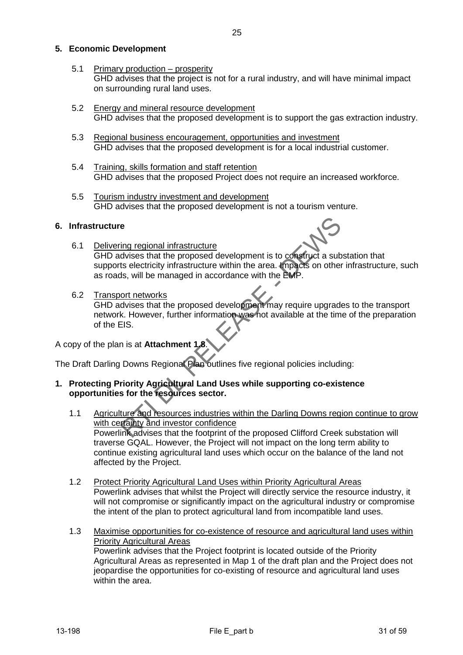25

#### **5. Economic Development**

- 5.1 Primary production prosperity GHD advises that the project is not for a rural industry, and will have minimal impact on surrounding rural land uses.
- 5.2 Energy and mineral resource development GHD advises that the proposed development is to support the gas extraction industry.
- 5.3 Regional business encouragement, opportunities and investment GHD advises that the proposed development is for a local industrial customer.
- 5.4 Training, skills formation and staff retention GHD advises that the proposed Project does not require an increased workforce.
- 5.5 Tourism industry investment and development GHD advises that the proposed development is not a tourism venture.

#### **6. Infrastructure**

- 6.1 Delivering regional infrastructure GHD advises that the proposed development is to construct a substation that supports electricity infrastructure within the area. Impacts on other infrastructure, such as roads, will be managed in accordance with the EMP.
- 6.2 Transport networks

GHD advises that the proposed development may require upgrades to the transport network. However, further information was not available at the time of the preparation of the EIS.

A copy of the plan is at **Attachment 1.8**.

The Draft Darling Downs Regional Plan outlines five regional policies including:

- **1. Protecting Priority Agricultural Land Uses while supporting co-existence opportunities for the resources sector.**
- 1.1 Agriculture and resources industries within the Darling Downs region continue to grow with certainty and investor confidence Powerlink advises that the footprint of the proposed Clifford Creek substation will traverse GQAL. However, the Project will not impact on the long term ability to continue existing agricultural land uses which occur on the balance of the land not affected by the Project. 6. Infrastructure<br>
6.1 Delivering regional infrastructure<br>
6.1 Delivering regional infrastructure<br>
supports electricity infrastructure within the area, simple model<br>
supports electricity infrastructure within the area, si
	- 1.2 Protect Priority Agricultural Land Uses within Priority Agricultural Areas Powerlink advises that whilst the Project will directly service the resource industry, it will not compromise or significantly impact on the agricultural industry or compromise the intent of the plan to protect agricultural land from incompatible land uses.
	- 1.3 Maximise opportunities for co-existence of resource and agricultural land uses within Priority Agricultural Areas Powerlink advises that the Project footprint is located outside of the Priority Agricultural Areas as represented in Map 1 of the draft plan and the Project does not jeopardise the opportunities for co-existing of resource and agricultural land uses within the area.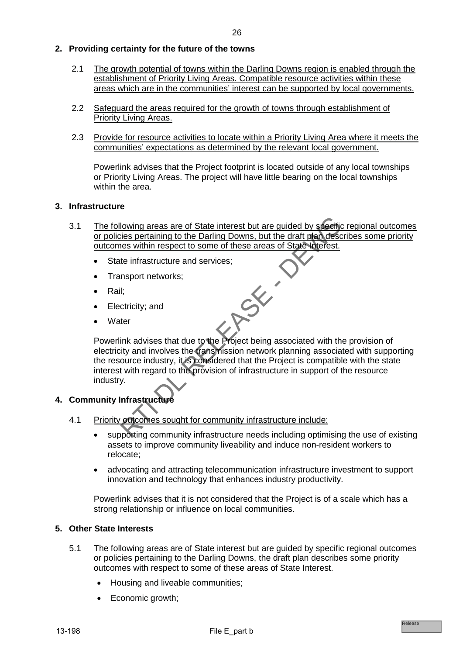#### **2. Providing certainty for the future of the towns**

- 2.1 The growth potential of towns within the Darling Downs region is enabled through the establishment of Priority Living Areas. Compatible resource activities within these areas which are in the communities' interest can be supported by local governments.
- 2.2 Safeguard the areas required for the growth of towns through establishment of Priority Living Areas.
- 2.3 Provide for resource activities to locate within a Priority Living Area where it meets the communities' expectations as determined by the relevant local government.

Powerlink advises that the Project footprint is located outside of any local townships or Priority Living Areas. The project will have little bearing on the local townships within the area.

#### **3. Infrastructure**

- 3.1 The following areas are of State interest but are guided by specific regional outcomes or policies pertaining to the Darling Downs, but the draft plan describes some priority outcomes within respect to some of these areas of State Interest.
	-
	- Transport networks;
	- Rail:
	- Electricity; and
	- Water

State infrastructure and services;<br>
Transport networks;<br>
Rail;<br>
Electricity; and<br>
Water<br>
Pow Powerlink advises that due to the Project being associated with the provision of electricity and involves the transmission network planning associated with supporting the resource industry, it is considered that the Project is compatible with the state interest with regard to the provision of infrastructure in support of the resource industry. 13.1 The following areas are of State interest but are quided by **specific** regional outcoment in the model interest but and interest distinguished by specific regional outcoment with the proteins but the distinguished c

#### **4. Community Infrastructure**

- 4.1 Priority outcomes sought for community infrastructure include:
	- supporting community infrastructure needs including optimising the use of existing assets to improve community liveability and induce non-resident workers to relocate;
	- advocating and attracting telecommunication infrastructure investment to support innovation and technology that enhances industry productivity.

Powerlink advises that it is not considered that the Project is of a scale which has a strong relationship or influence on local communities.

#### **5. Other State Interests**

- 5.1 The following areas are of State interest but are guided by specific regional outcomes or policies pertaining to the Darling Downs, the draft plan describes some priority outcomes with respect to some of these areas of State Interest.
	- Housing and liveable communities;
	- Economic growth;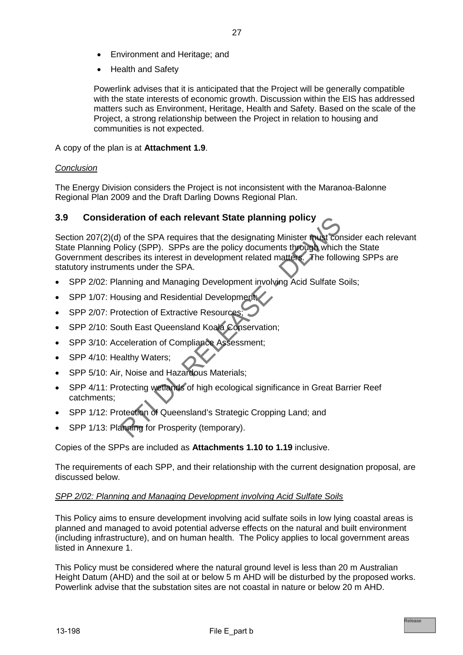- Environment and Heritage; and
- Health and Safety

Powerlink advises that it is anticipated that the Project will be generally compatible with the state interests of economic growth. Discussion within the EIS has addressed matters such as Environment, Heritage, Health and Safety. Based on the scale of the Project, a strong relationship between the Project in relation to housing and communities is not expected.

A copy of the plan is at **Attachment 1.9**.

#### *Conclusion*

The Energy Division considers the Project is not inconsistent with the Maranoa-Balonne Regional Plan 2009 and the Draft Darling Downs Regional Plan.

#### **3.9 Consideration of each relevant State planning policy**

Section 207(2)(d) of the SPA requires that the designating Minister must consider each relevant State Planning Policy (SPP). SPPs are the policy documents through which the State Government describes its interest in development related matters. The following SPPs are statutory instruments under the SPA. 3.9 Consideration of each relevant state planning poincy<br>
Settion 207(2)(3) of the SPA requires that the designating Minister fraction<br>
Settion 207(2)(3) of the SPA requires that the designating Minister fraction<br>
Settion

- SPP 2/02: Planning and Managing Development involving Acid Sulfate Soils;
- SPP 1/07: Housing and Residential Development
- SPP 2/07: Protection of Extractive Resources
- SPP 2/10: South East Queensland Koala Conservation:
- SPP 3/10: Acceleration of Compliance Assessment;
- SPP 4/10: Healthy Waters;
- SPP 5/10: Air, Noise and Hazardous Materials;
- SPP 4/11: Protecting wetlands of high ecological significance in Great Barrier Reef catchments;
- SPP 1/12: Protection of Queensland's Strategic Cropping Land; and
- SPP 1/13: Planning for Prosperity (temporary).

Copies of the SPPs are included as **Attachments 1.10 to 1.19** inclusive.

The requirements of each SPP, and their relationship with the current designation proposal, are discussed below.

#### *SPP 2/02: Planning and Managing Development involving Acid Sulfate Soils*

This Policy aims to ensure development involving acid sulfate soils in low lying coastal areas is planned and managed to avoid potential adverse effects on the natural and built environment (including infrastructure), and on human health. The Policy applies to local government areas listed in Annexure 1.

This Policy must be considered where the natural ground level is less than 20 m Australian Height Datum (AHD) and the soil at or below 5 m AHD will be disturbed by the proposed works. Powerlink advise that the substation sites are not coastal in nature or below 20 m AHD.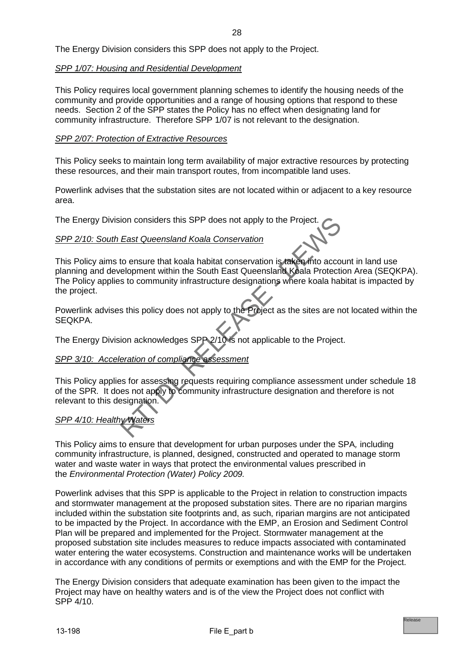The Energy Division considers this SPP does not apply to the Project.

#### *SPP 1/07: Housing and Residential Development*

This Policy requires local government planning schemes to identify the housing needs of the community and provide opportunities and a range of housing options that respond to these needs. Section 2 of the SPP states the Policy has no effect when designating land for community infrastructure. Therefore SPP 1/07 is not relevant to the designation.

#### *SPP 2/07: Protection of Extractive Resources*

This Policy seeks to maintain long term availability of major extractive resources by protecting these resources, and their main transport routes, from incompatible land uses.

Powerlink advises that the substation sites are not located within or adjacent to a key resource area.

The Energy Division considers this SPP does not apply to the Project.

#### *SPP 2/10: South East Queensland Koala Conservation*

This Policy aims to ensure that koala habitat conservation is taken into account in land use planning and development within the South East Queensland Koala Protection Area (SEQKPA). The Policy applies to community infrastructure designations where koala habitat is impacted by the project.

Powerlink advises this policy does not apply to the Project as the sites are not located within the SEQKPA.

The Energy Division acknowledges SPP 2/10 is not applicable to the Project.

#### *SPP 3/10: Acceleration of compliance assessment*

This Policy applies for assessing requests requiring compliance assessment under schedule 18 of the SPR*.* It does not apply to community infrastructure designation and therefore is not relevant to this designation.

# *SPP 4/10: Healthy Waters*

This Policy aims to ensure that development for urban purposes under the SPA*,* including community infrastructure, is planned, designed, constructed and operated to manage storm water and waste water in ways that protect the environmental values prescribed in the *Environmental Protection (Water) Policy 2009.*

Powerlink advises that this SPP is applicable to the Project in relation to construction impacts and stormwater management at the proposed substation sites. There are no riparian margins included within the substation site footprints and, as such, riparian margins are not anticipated to be impacted by the Project. In accordance with the EMP, an Erosion and Sediment Control Plan will be prepared and implemented for the Project. Stormwater management at the proposed substation site includes measures to reduce impacts associated with contaminated water entering the water ecosystems. Construction and maintenance works will be undertaken in accordance with any conditions of permits or exemptions and with the EMP for the Project. The Energy Division considers this SPP does not apply to the Project.<br>
SPP 210: South East Queensland Koala Conservation<br>
This Policy and the one should habitat conservation<br>
Elianoning and development within the South Eas

The Energy Division considers that adequate examination has been given to the impact the Project may have on healthy waters and is of the view the Project does not conflict with SPP 4/10.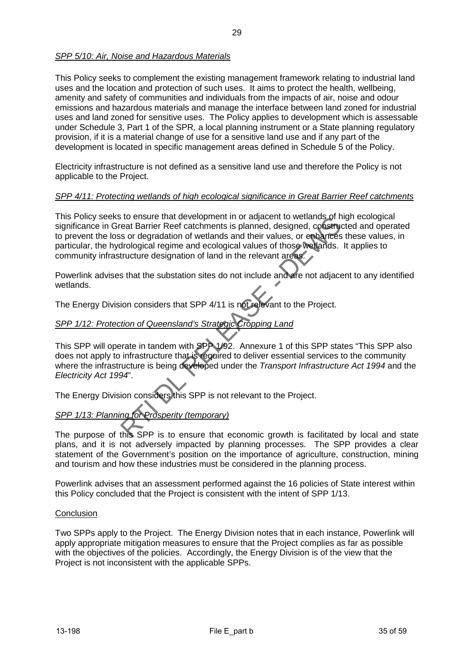This Policy seeks to complement the existing management framework relating to industrial land uses and the location and protection of such uses. It aims to protect the health, wellbeing, amenity and safety of communities and individuals from the impacts of air, noise and odour emissions and hazardous materials and manage the interface between land zoned for industrial uses and land zoned for sensitive uses. The Policy applies to development which is assessable under Schedule 3, Part 1 of the SPR*,* a local planning instrument or a State planning regulatory provision, if it is a material change of use for a sensitive land use and if any part of the development is located in specific management areas defined in Schedule 5 of the Policy.

Electricity infrastructure is not defined as a sensitive land use and therefore the Policy is not applicable to the Project.

#### *SPP 4/11: Protecting wetlands of high ecological significance in Great Barrier Reef catchments*

This Policy seeks to ensure that development in or adjacent to wetlands of high ecological significance in Great Barrier Reef catchments is planned, designed, constructed and operated to prevent the loss or degradation of wetlands and their values, or enhances these values, in particular, the hydrological regime and ecological values of those wetlands. It applies to community infrastructure designation of land in the relevant areas. The Policy suses to the such that the version of the state of the state of the second to the second the project in the second the file of the second the projection of present the loss of degrade and characteristic properti

Powerlink advises that the substation sites do not include and are not adjacent to any identified wetlands.

The Energy Division considers that SPP 4/11 is not relevant to the Project.

## *SPP 1/12: Protection of Queensland's Strategic Cropping Land*

This SPP will operate in tandem with SPP 1/92. Annexure 1 of this SPP states "This SPP also does not apply to infrastructure that is required to deliver essential services to the community where the infrastructure is being developed under the *Transport Infrastructure Act 1994* and the *Electricity Act 1994*".

The Energy Division considers this SPP is not relevant to the Project.

# *SPP 1/13: Planning for Prosperity (temporary)*

The purpose of this SPP is to ensure that economic growth is facilitated by local and state plans, and it is not adversely impacted by planning processes. The SPP provides a clear statement of the Government's position on the importance of agriculture, construction, mining and tourism and how these industries must be considered in the planning process.

Powerlink advises that an assessment performed against the 16 policies of State interest within this Policy concluded that the Project is consistent with the intent of SPP 1/13.

#### **Conclusion**

Two SPPs apply to the Project. The Energy Division notes that in each instance, Powerlink will apply appropriate mitigation measures to ensure that the Project complies as far as possible with the objectives of the policies. Accordingly, the Energy Division is of the view that the Project is not inconsistent with the applicable SPPs.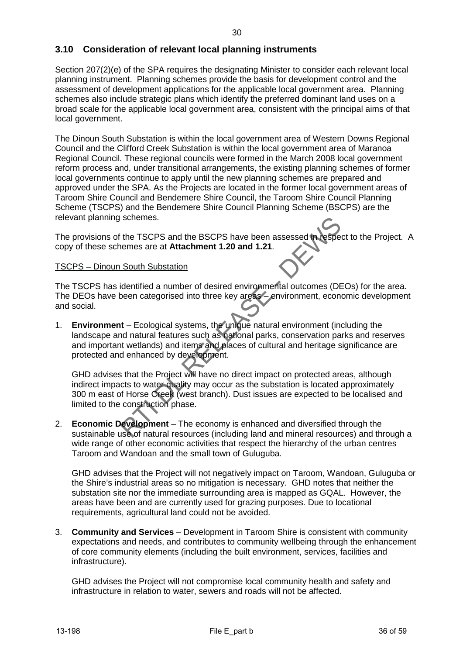## **3.10 Consideration of relevant local planning instruments**

Section 207(2)(e) of the SPA requires the designating Minister to consider each relevant local planning instrument. Planning schemes provide the basis for development control and the assessment of development applications for the applicable local government area. Planning schemes also include strategic plans which identify the preferred dominant land uses on a broad scale for the applicable local government area, consistent with the principal aims of that local government.

The Dinoun South Substation is within the local government area of Western Downs Regional Council and the Clifford Creek Substation is within the local government area of Maranoa Regional Council. These regional councils were formed in the March 2008 local government reform process and, under transitional arrangements, the existing planning schemes of former local governments continue to apply until the new planning schemes are prepared and approved under the SPA. As the Projects are located in the former local government areas of Taroom Shire Council and Bendemere Shire Council, the Taroom Shire Council Planning Scheme (TSCPS) and the Bendemere Shire Council Planning Scheme (BSCPS) are the relevant planning schemes.

The provisions of the TSCPS and the BSCPS have been assessed in respect to the Project. A copy of these schemes are at **Attachment 1.20 and 1.21**.

#### TSCPS – Dinoun South Substation

The TSCPS has identified a number of desired environmental outcomes (DEOs) for the area. The DEOs have been categorised into three key areas – environment, economic development and social.

1. **Environment** – Ecological systems, the unique natural environment (including the landscape and natural features such as national parks, conservation parks and reserves and important wetlands) and items and places of cultural and heritage significance are protected and enhanced by development.

GHD advises that the Project will have no direct impact on protected areas, although indirect impacts to water quality may occur as the substation is located approximately 300 m east of Horse Creek (west branch). Dust issues are expected to be localised and limited to the construction phase.

2. **Economic Development** – The economy is enhanced and diversified through the sustainable use of natural resources (including land and mineral resources) and through a wide range of other economic activities that respect the hierarchy of the urban centres Taroom and Wandoan and the small town of Guluguba.

GHD advises that the Project will not negatively impact on Taroom, Wandoan, Guluguba or the Shire's industrial areas so no mitigation is necessary. GHD notes that neither the substation site nor the immediate surrounding area is mapped as GQAL. However, the areas have been and are currently used for grazing purposes. Due to locational requirements, agricultural land could not be avoided. File provides and the SCPS and the BSCPS have been assessed to the Project.<br>The providence of the TSCPS and the BSCPS have been assessed to the Project.<br>TSCPS - Dinoun South Substation<br>The DEOS have been categorised a numb

3. **Community and Services** – Development in Taroom Shire is consistent with community expectations and needs, and contributes to community wellbeing through the enhancement of core community elements (including the built environment, services, facilities and infrastructure).

GHD advises the Project will not compromise local community health and safety and infrastructure in relation to water, sewers and roads will not be affected.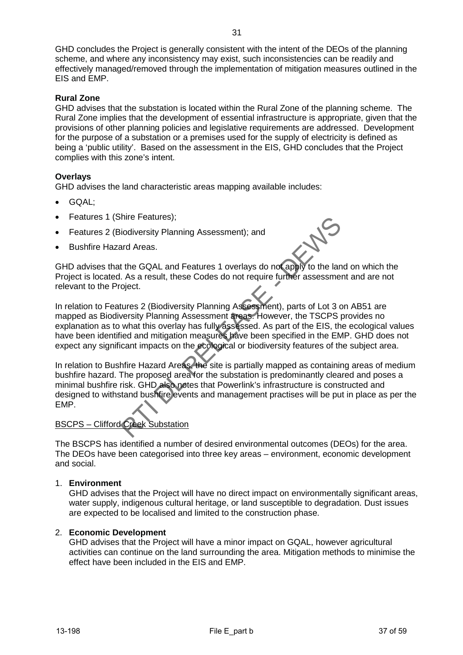GHD concludes the Project is generally consistent with the intent of the DEOs of the planning scheme, and where any inconsistency may exist, such inconsistencies can be readily and effectively managed/removed through the implementation of mitigation measures outlined in the EIS and EMP.

#### **Rural Zone**

GHD advises that the substation is located within the Rural Zone of the planning scheme. The Rural Zone implies that the development of essential infrastructure is appropriate, given that the provisions of other planning policies and legislative requirements are addressed. Development for the purpose of a substation or a premises used for the supply of electricity is defined as being a 'public utility'. Based on the assessment in the EIS, GHD concludes that the Project complies with this zone's intent.

#### **Overlays**

GHD advises the land characteristic areas mapping available includes:

- GOAL:
- Features 1 (Shire Features);
- Features 2 (Biodiversity Planning Assessment); and
- x Bushfire Hazard Areas.



GHD advises that the GQAL and Features 1 overlays do not apply to the land on which the Project is located. As a result, these Codes do not require further assessment and are not relevant to the Project.

In relation to Features 2 (Biodiversity Planning Assessment), parts of Lot 3 on AB51 are mapped as Biodiversity Planning Assessment areas. However, the TSCPS provides no explanation as to what this overlay has fully assessed. As part of the EIS, the ecological values have been identified and mitigation measures have been specified in the EMP. GHD does not expect any significant impacts on the ecological or biodiversity features of the subject area. Frequency Is (notine Features); The Features of the Risk and Amelian States and the SCAL and Features 1 overlays do not flexible by the land on which the Project is located. As a celul, these Codes do not require further a

In relation to Bushfire Hazard Areas, the site is partially mapped as containing areas of medium bushfire hazard. The proposed area for the substation is predominantly cleared and poses a minimal bushfire risk. GHD also notes that Powerlink's infrastructure is constructed and designed to withstand bushfire events and management practises will be put in place as per the EMP.

#### BSCPS – Clifford Creek Substation

The BSCPS has identified a number of desired environmental outcomes (DEOs) for the area. The DEOs have been categorised into three key areas – environment, economic development and social.

#### 1. **Environment**

GHD advises that the Project will have no direct impact on environmentally significant areas, water supply, indigenous cultural heritage, or land susceptible to degradation. Dust issues are expected to be localised and limited to the construction phase.

#### 2. **Economic Development**

GHD advises that the Project will have a minor impact on GQAL, however agricultural activities can continue on the land surrounding the area. Mitigation methods to minimise the effect have been included in the EIS and EMP.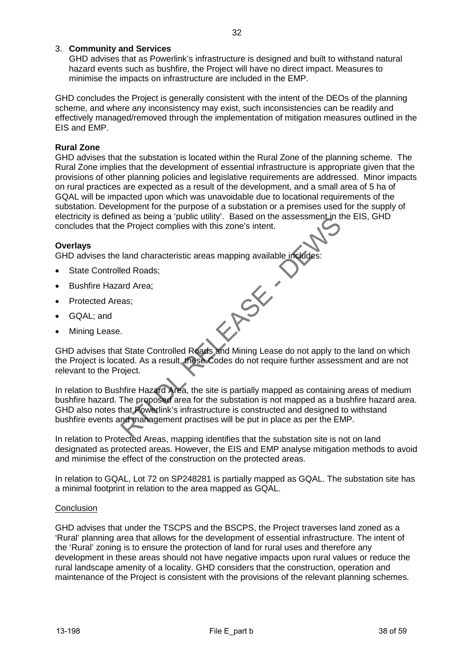#### 3. **Community and Services**

GHD advises that as Powerlink's infrastructure is designed and built to withstand natural hazard events such as bushfire, the Project will have no direct impact. Measures to minimise the impacts on infrastructure are included in the EMP.

GHD concludes the Project is generally consistent with the intent of the DEOs of the planning scheme, and where any inconsistency may exist, such inconsistencies can be readily and effectively managed/removed through the implementation of mitigation measures outlined in the EIS and EMP.

#### **Rural Zone**

GHD advises that the substation is located within the Rural Zone of the planning scheme. The Rural Zone implies that the development of essential infrastructure is appropriate given that the provisions of other planning policies and legislative requirements are addressed. Minor impacts on rural practices are expected as a result of the development, and a small area of 5 ha of GQAL will be impacted upon which was unavoidable due to locational requirements of the substation. Development for the purpose of a substation or a premises used for the supply of electricity is defined as being a 'public utility'. Based on the assessment in the EIS, GHD concludes that the Project complies with this zone's intent.

#### **Overlays**

GHD advises the land characteristic areas mapping available includes:

- State Controlled Roads:
- Bushfire Hazard Area:
- Protected Areas;
- GQAL; and
- Mining Lease.

GHD advises that State Controlled Roads and Mining Lease do not apply to the land on which the Project is located. As a result, these Codes do not require further assessment and are not relevant to the Project.

In relation to Bushfire Hazard Area, the site is partially mapped as containing areas of medium bushfire hazard. The proposed area for the substation is not mapped as a bushfire hazard area. GHD also notes that Powerlink's infrastructure is constructed and designed to withstand bushfire events and management practises will be put in place as per the EMP.

In relation to Protected Areas, mapping identifies that the substation site is not on land designated as protected areas. However, the EIS and EMP analyse mitigation methods to avoid and minimise the effect of the construction on the protected areas.

In relation to GQAL, Lot 72 on SP248281 is partially mapped as GQAL. The substation site has a minimal footprint in relation to the area mapped as GQAL.

#### **Conclusion**

GHD advises that under the TSCPS and the BSCPS, the Project traverses land zoned as a 'Rural' planning area that allows for the development of essential infrastructure. The intent of the 'Rural' zoning is to ensure the protection of land for rural uses and therefore any development in these areas should not have negative impacts upon rural values or reduce the rural landscape amenity of a locality. GHD considers that the construction, operation and maintenance of the Project is consistent with the provisions of the relevant planning schemes. electricity is unimited beat at the application of the assessment of the subset of the controlled that the Project complets with this zone's hinent.<br> **Correlay**<br>
13-198 File Hazard Area;<br>
13-198 File Hazard Area;<br>
13-198 F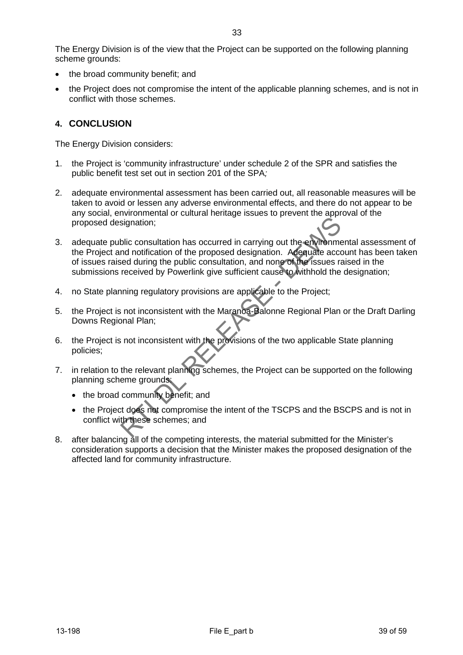The Energy Division is of the view that the Project can be supported on the following planning scheme grounds:

- the broad community benefit; and
- the Project does not compromise the intent of the applicable planning schemes, and is not in conflict with those schemes.

#### **4. CONCLUSION**

The Energy Division considers:

- 1. the Project is 'community infrastructure' under schedule 2 of the SPR and satisfies the public benefit test set out in section 201 of the SPA*;*
- 2. adequate environmental assessment has been carried out, all reasonable measures will be taken to avoid or lessen any adverse environmental effects, and there do not appear to be any social, environmental or cultural heritage issues to prevent the approval of the proposed designation;
- 3. adequate public consultation has occurred in carrying out the environmental assessment of the Project and notification of the proposed designation. Adequate account has been taken of issues raised during the public consultation, and none of the issues raised in the submissions received by Powerlink give sufficient cause to withhold the designation; proposed designation;<br>
a degrade public consultation has occurred in carrying out the exponential assessment<br>
of its exergence that policies and the proposed designation. Adjoundbe account has been taken is<br>
of its uses r
- 4. no State planning regulatory provisions are applicable to the Project;
- 5. the Project is not inconsistent with the Maranoa-Balonne Regional Plan or the Draft Darling Downs Regional Plan;
- 6. the Project is not inconsistent with the provisions of the two applicable State planning policies;
- 7. in relation to the relevant planning schemes, the Project can be supported on the following planning scheme grounds:
	- the broad community benefit; and
	- the Project does not compromise the intent of the TSCPS and the BSCPS and is not in conflict with these schemes; and
- 8. after balancing all of the competing interests, the material submitted for the Minister's consideration supports a decision that the Minister makes the proposed designation of the affected land for community infrastructure.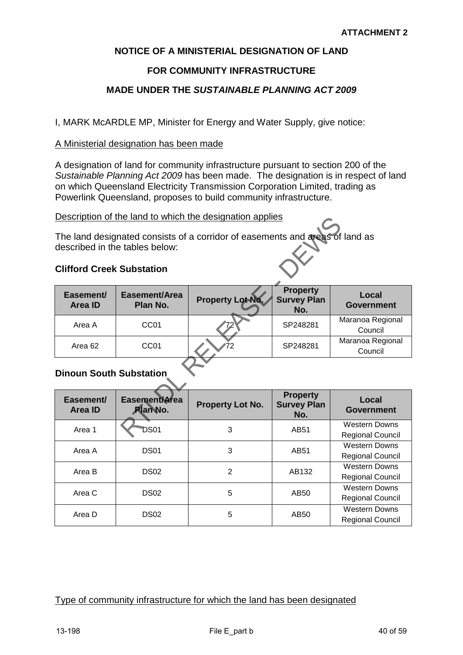# **NOTICE OF A MINISTERIAL DESIGNATION OF LAND**

# **FOR COMMUNITY INFRASTRUCTURE**

## **MADE UNDER THE** *SUSTAINABLE PLANNING ACT 2009*

I, MARK McARDLE MP, Minister for Energy and Water Supply, give notice:

#### A Ministerial designation has been made

A designation of land for community infrastructure pursuant to section 200 of the *Sustainable Planning Act 2009* has been made. The designation is in respect of land on which Queensland Electricity Transmission Corporation Limited, trading as Powerlink Queensland, proposes to build community infrastructure.

Description of the land to which the designation applies

### **Clifford Creek Substation**

| Easement/<br><b>Area ID</b> | Easement/Area<br>Plan No. | <b>Property Lot No.</b> | <b>Property</b><br><b>Survey Plan</b><br>No. | Local<br><b>Government</b>  |
|-----------------------------|---------------------------|-------------------------|----------------------------------------------|-----------------------------|
| Area A                      | CC <sub>01</sub>          |                         | SP248281                                     | Maranoa Regional<br>Council |
| Area 62                     | CC01                      |                         | SP248281                                     | Maranoa Regional<br>Council |

# **Dinoun South Substation**

| <b>Clifford Creek Substation</b> |                           |                                                                         | <b>Property</b>                              |                                                 |
|----------------------------------|---------------------------|-------------------------------------------------------------------------|----------------------------------------------|-------------------------------------------------|
| Easement/<br><b>Area ID</b>      | Easement/Area<br>Plan No. | <b>Property Lot No.</b>                                                 | <b>Survey Plan</b><br>No.                    | Local<br><b>Government</b>                      |
| Area A                           | CC01                      |                                                                         | SP248281                                     | Maranoa Regional<br>Council                     |
| Area <sub>62</sub>               | CC01                      |                                                                         | SP248281                                     | Maranoa Regional<br>Council                     |
| <b>Dinoun South Substation</b>   |                           |                                                                         |                                              |                                                 |
| Easement/<br><b>Area ID</b>      | Easement/Area<br>Plan No. | <b>Property Lot No.</b>                                                 | <b>Property</b><br><b>Survey Plan</b><br>No. | Local<br><b>Government</b>                      |
| Area 1                           | <b>DS01</b>               | 3                                                                       | AB51                                         | <b>Western Downs</b><br><b>Regional Council</b> |
| Area A                           | <b>DS01</b>               | 3                                                                       | AB51                                         | <b>Western Downs</b><br><b>Regional Council</b> |
| Area B                           | <b>DS02</b>               | $\overline{2}$                                                          | AB132                                        | <b>Western Downs</b><br><b>Regional Council</b> |
| Area C                           | <b>DS02</b>               | 5                                                                       | AB50                                         | <b>Western Downs</b><br><b>Regional Council</b> |
| Area D                           | <b>DS02</b>               | 5                                                                       | AB50                                         | <b>Western Downs</b><br>Regional Council        |
|                                  |                           |                                                                         |                                              |                                                 |
|                                  |                           | Type of community infrastructure for which the land has been designated |                                              |                                                 |

#### Type of community infrastructure for which the land has been designated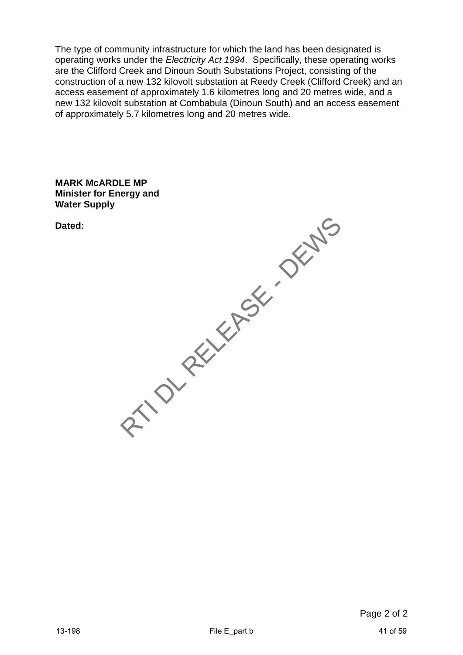The type of community infrastructure for which the land has been designated is operating works under the *Electricity Act 1994*. Specifically, these operating works are the Clifford Creek and Dinoun South Substations Project, consisting of the construction of a new 132 kilovolt substation at Reedy Creek (Clifford Creek) and an access easement of approximately 1.6 kilometres long and 20 metres wide, and a new 132 kilovolt substation at Combabula (Dinoun South) and an access easement of approximately 5.7 kilometres long and 20 metres wide.

**MARK McARDLE MP Minister for Energy and Water Supply**

**Dated:**

 $R1198 = \frac{13.198}{13.198}$ 

Page 2 of 2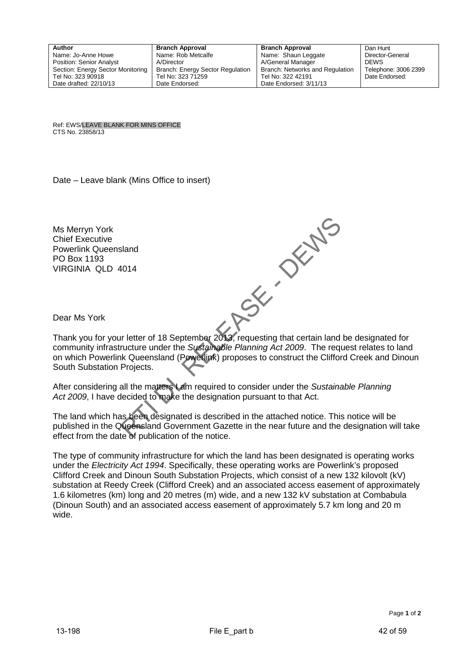| Author                            | <b>Branch Approval</b>           | <b>Branch Approval</b>          | Dan Hunt             |
|-----------------------------------|----------------------------------|---------------------------------|----------------------|
| Name: Jo-Anne Howe                | Name: Rob Metcalfe               | Name: Shaun Leggate             | Director-General     |
| <b>Position: Senior Analyst</b>   | A/Director                       | A/General Manager               | <b>DEWS</b>          |
| Section: Energy Sector Monitoring | Branch: Energy Sector Regulation | Branch: Networks and Regulation | Telephone: 3006 2399 |
| Tel No: 323 90918                 | Tel No: 323 71259                | Tel No: 322 42191               | Date Endorsed:       |
| Date drafted: 22/10/13            | Date Endorsed:                   | Date Endorsed: 3/11/13          |                      |

Ref: EWS/LEAVE BLANK FOR MINS OFFICE CTS No. 23858/13

Date – Leave blank (Mins Office to insert)

Ms Merryn York Chief Executive Powerlink Queensland PO Box 1193 VIRGINIA QLD 4014

Dear Ms York

Thank you for your letter of 18 September 2013, requesting that certain land be designated for community infrastructure under the *Sustainable Planning Act 2009*. The request relates to land on which Powerlink Queensland (Powerlink) proposes to construct the Clifford Creek and Dinoun South Substation Projects.

After considering all the matters I am required to consider under the *Sustainable Planning Act 2009*, I have decided to make the designation pursuant to that Act.

The land which has been designated is described in the attached notice. This notice will be published in the Queensland Government Gazette in the near future and the designation will take effect from the date of publication of the notice.

The type of community infrastructure for which the land has been designated is operating works under the *Electricity Act 1994*. Specifically, these operating works are Powerlink's proposed Clifford Creek and Dinoun South Substation Projects, which consist of a new 132 kilovolt (kV) substation at Reedy Creek (Clifford Creek) and an associated access easement of approximately 1.6 kilometres (km) long and 20 metres (m) wide, and a new 132 kV substation at Combabula (Dinoun South) and an associated access easement of approximately 5.7 km long and 20 m wide. Use Merryn York<br>
The Executive<br>
The Executive Coverinc Queensland<br>
York WIRGINIA QLD 4014<br>
Your Your Heter of 18 September 2009. Tequesting that certain land be designated for<br>
Dear Ms York<br>
Thank you for your letter of 18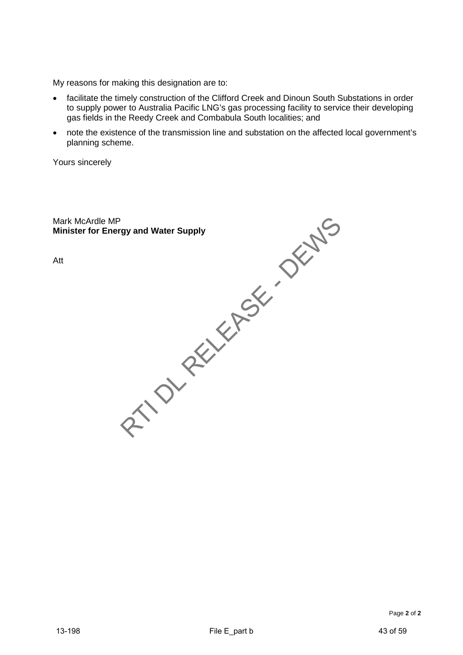My reasons for making this designation are to:

- facilitate the timely construction of the Clifford Creek and Dinoun South Substations in order to supply power to Australia Pacific LNG's gas processing facility to service their developing gas fields in the Reedy Creek and Combabula South localities; and
- note the existence of the transmission line and substation on the affected local government's planning scheme.

Yours sincerely

Mark McArdle MP **Minister for Energy and Water Supply** Att **PART DL RELEASE - DEWS - ONEWS**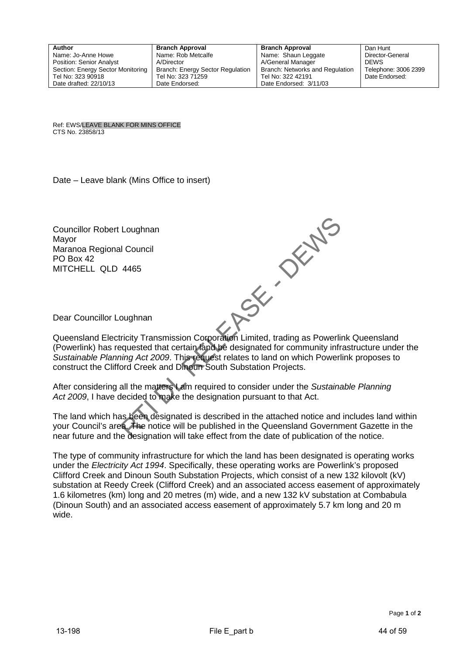| Author                            | <b>Branch Approval</b>           | <b>Branch Approval</b>          | Dan Hunt             |
|-----------------------------------|----------------------------------|---------------------------------|----------------------|
| Name: Jo-Anne Howe                | Name: Rob Metcalfe               | Name: Shaun Leggate             | Director-General     |
| <b>Position: Senior Analyst</b>   | A/Director                       | A/General Manager               | <b>DEWS</b>          |
| Section: Energy Sector Monitoring | Branch: Energy Sector Regulation | Branch: Networks and Regulation | Telephone: 3006 2399 |
| Tel No: 323 90918                 | Tel No: 323 71259                | Tel No: 322 42191               | Date Endorsed:       |
| Date drafted: 22/10/13            | Date Endorsed:                   | Date Endorsed: 3/11/03          |                      |

Ref: EWS/LEAVE BLANK FOR MINS OFFICE CTS No. 23858/13

Date – Leave blank (Mins Office to insert)

Councillor Robert Loughnan Mayor Maranoa Regional Council PO Box 42 MITCHELL QLD 4465

Dear Councillor Loughnan

Queensland Electricity Transmission Corporation Limited, trading as Powerlink Queensland (Powerlink) has requested that certain land be designated for community infrastructure under the *Sustainable Planning Act 2009*. This request relates to land on which Powerlink proposes to construct the Clifford Creek and Dinoun South Substation Projects.

After considering all the matters I am required to consider under the *Sustainable Planning Act 2009*, I have decided to make the designation pursuant to that Act.

The land which has been designated is described in the attached notice and includes land within your Council's area. The notice will be published in the Queensland Government Gazette in the near future and the designation will take effect from the date of publication of the notice.

The type of community infrastructure for which the land has been designated is operating works under the *Electricity Act 1994*. Specifically, these operating works are Powerlink's proposed Clifford Creek and Dinoun South Substation Projects, which consist of a new 132 kilovolt (kV) substation at Reedy Creek (Clifford Creek) and an associated access easement of approximately 1.6 kilometres (km) long and 20 metres (m) wide, and a new 132 kV substation at Combabula (Dinoun South) and an associated access easement of approximately 5.7 km long and 20 m wide. Councillor Robert Loughnan<br>Alaranoa Regional Council<br>Maranoa Regional Council<br>Valencesiand Electricity Transmission Corporation Limited, trading as Powerlink Queensland<br>Powerlink, has requested that certain diplomatical su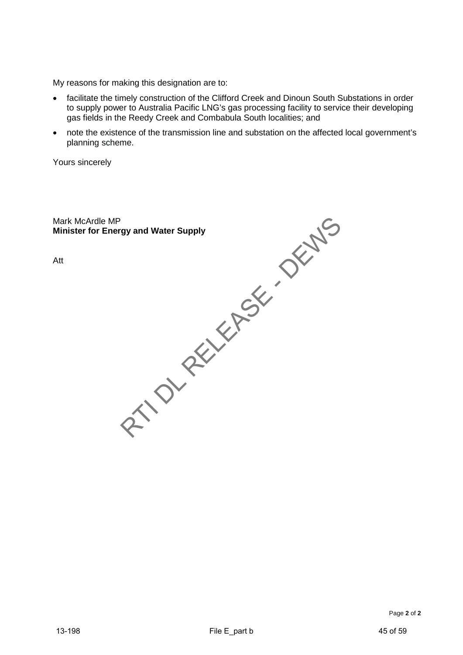My reasons for making this designation are to:

- facilitate the timely construction of the Clifford Creek and Dinoun South Substations in order to supply power to Australia Pacific LNG's gas processing facility to service their developing gas fields in the Reedy Creek and Combabula South localities; and
- note the existence of the transmission line and substation on the affected local government's planning scheme.

Yours sincerely

Mark McArdle MP **Minister for Energy and Water Supply** Att **PART DL RELEASE - DEWS - DEWS - PART B 45 OF 69 RTM**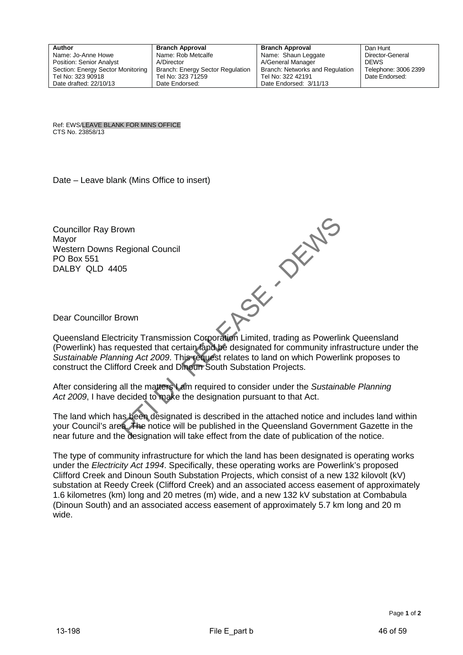| Author                            | <b>Branch Approval</b>                  | <b>Branch Approval</b>          | Dan Hunt             |
|-----------------------------------|-----------------------------------------|---------------------------------|----------------------|
| Name: Jo-Anne Howe                | Name: Rob Metcalfe                      | Name: Shaun Leggate             | Director-General     |
| <b>Position: Senior Analyst</b>   | A/Director                              | A/General Manager               | <b>DEWS</b>          |
| Section: Energy Sector Monitoring | <b>Branch: Energy Sector Regulation</b> | Branch: Networks and Regulation | Telephone: 3006 2399 |
| Tel No: 323 90918                 | Tel No: 323 71259                       | Tel No: 322 42191               | Date Endorsed:       |
| Date drafted: 22/10/13            | Date Endorsed:                          | Date Endorsed: 3/11/13          |                      |

Ref: EWS/LEAVE BLANK FOR MINS OFFICE CTS No. 23858/13

Date – Leave blank (Mins Office to insert)

Councillor Ray Brown Mayor Western Downs Regional Council PO Box 551 DALBY QLD 4405

Dear Councillor Brown

Queensland Electricity Transmission Corporation Limited, trading as Powerlink Queensland (Powerlink) has requested that certain land be designated for community infrastructure under the *Sustainable Planning Act 2009*. This request relates to land on which Powerlink proposes to construct the Clifford Creek and Dinoun South Substation Projects.

After considering all the matters I am required to consider under the *Sustainable Planning Act 2009*, I have decided to make the designation pursuant to that Act.

The land which has been designated is described in the attached notice and includes land within your Council's area. The notice will be published in the Queensland Government Gazette in the near future and the designation will take effect from the date of publication of the notice.

The type of community infrastructure for which the land has been designated is operating works under the *Electricity Act 1994*. Specifically, these operating works are Powerlink's proposed Clifford Creek and Dinoun South Substation Projects, which consist of a new 132 kilovolt (kV) substation at Reedy Creek (Clifford Creek) and an associated access easement of approximately 1.6 kilometres (km) long and 20 metres (m) wide, and a new 132 kV substation at Combabula (Dinoun South) and an associated access easement of approximately 5.7 km long and 20 m wide. Councillor Ray Brown<br>Western Downs Regional Council<br>Western Downs Regional Council<br>Vestern Downs Regional Council<br>Powerlink, has requested that certain graphs decises to land on which Powerlink Queensland<br>Electricity Trans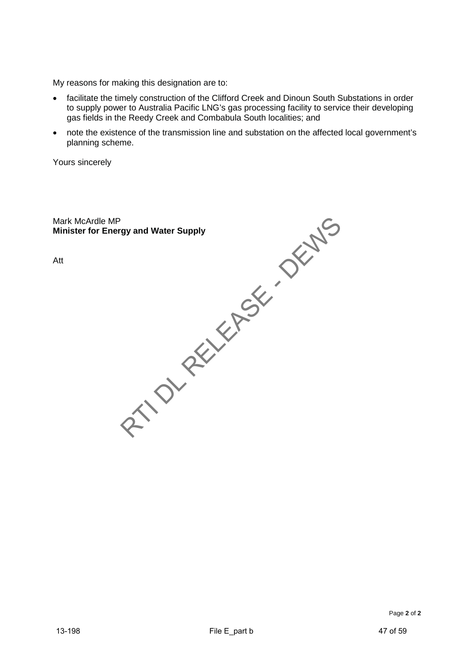My reasons for making this designation are to:

- facilitate the timely construction of the Clifford Creek and Dinoun South Substations in order to supply power to Australia Pacific LNG's gas processing facility to service their developing gas fields in the Reedy Creek and Combabula South localities; and
- note the existence of the transmission line and substation on the affected local government's planning scheme.

Yours sincerely

Mark McArdle MP **Minister for Energy and Water Supply** Att **PART DL RELEASE - DEWS - Parties**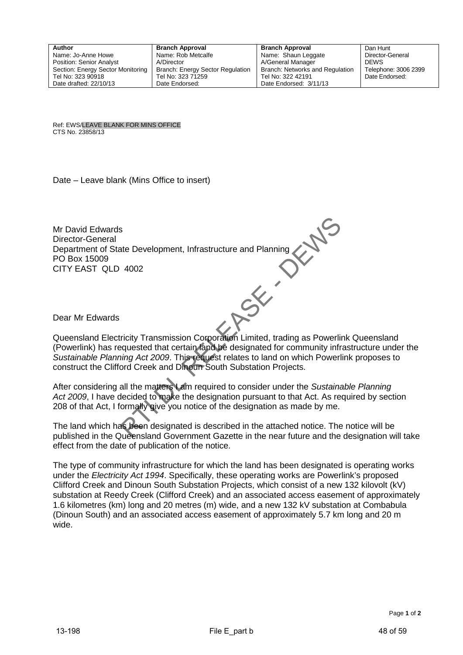| Author                            | <b>Branch Approval</b>           | <b>Branch Approval</b>          | Dan Hunt             |
|-----------------------------------|----------------------------------|---------------------------------|----------------------|
| Name: Jo-Anne Howe                | Name: Rob Metcalfe               | Name: Shaun Leggate             | Director-General     |
| <b>Position: Senior Analyst</b>   | A/Director                       | A/General Manager               | <b>DEWS</b>          |
| Section: Energy Sector Monitoring | Branch: Energy Sector Regulation | Branch: Networks and Regulation | Telephone: 3006 2399 |
| Tel No: 323 90918                 | Tel No: 323 71259                | Tel No: 322 42191               | Date Endorsed:       |
| Date drafted: 22/10/13            | Date Endorsed:                   | Date Endorsed: 3/11/13          |                      |

Ref: EWS/LEAVE BLANK FOR MINS OFFICE CTS No. 23858/13

Date – Leave blank (Mins Office to insert)

Mr David Edwards Director-General Department of State Development, Infrastructure and Planning PO Box 15009 CITY EAST QLD 4002

Dear Mr Edwards

Queensland Electricity Transmission Corporation Limited, trading as Powerlink Queensland (Powerlink) has requested that certain land be designated for community infrastructure under the *Sustainable Planning Act 2009*. This request relates to land on which Powerlink proposes to construct the Clifford Creek and Dinoun South Substation Projects.

After considering all the matters I am required to consider under the *Sustainable Planning*  Act 2009. I have decided to make the designation pursuant to that Act. As required by section 208 of that Act, I formally give you notice of the designation as made by me.

The land which has been designated is described in the attached notice. The notice will be published in the Queensland Government Gazette in the near future and the designation will take effect from the date of publication of the notice.

The type of community infrastructure for which the land has been designated is operating works under the *Electricity Act 1994*. Specifically, these operating works are Powerlink's proposed Clifford Creek and Dinoun South Substation Projects, which consist of a new 132 kilovolt (kV) substation at Reedy Creek (Clifford Creek) and an associated access easement of approximately 1.6 kilometres (km) long and 20 metres (m) wide, and a new 132 kV substation at Combabula (Dinoun South) and an associated access easement of approximately 5.7 km long and 20 m wide. In David Edwards<br>
Director-General<br>
Director-General<br>
Operatment of State Development, Infrastructure and Planning<br>
You any special of the diversion Correction (Figure 2013)<br>
Dear Mr Edwards<br>
Diversimitive has requested th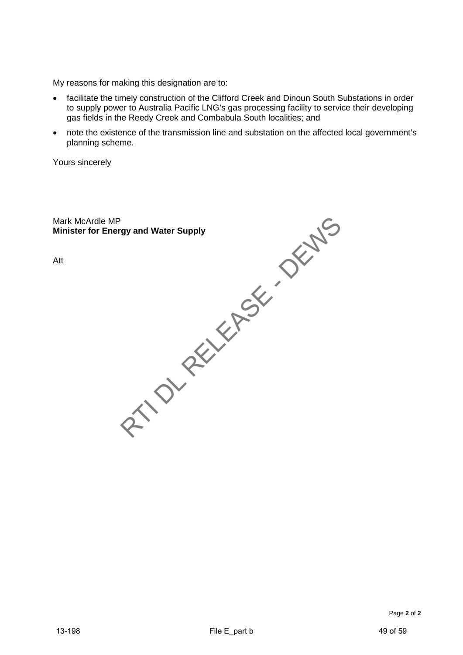My reasons for making this designation are to:

- facilitate the timely construction of the Clifford Creek and Dinoun South Substations in order to supply power to Australia Pacific LNG's gas processing facility to service their developing gas fields in the Reedy Creek and Combabula South localities; and
- note the existence of the transmission line and substation on the affected local government's planning scheme.

Yours sincerely

Mark McArdle MP **Minister for Energy and Water Supply** Att **PART DL RELEASE - DEWS - ONEWS**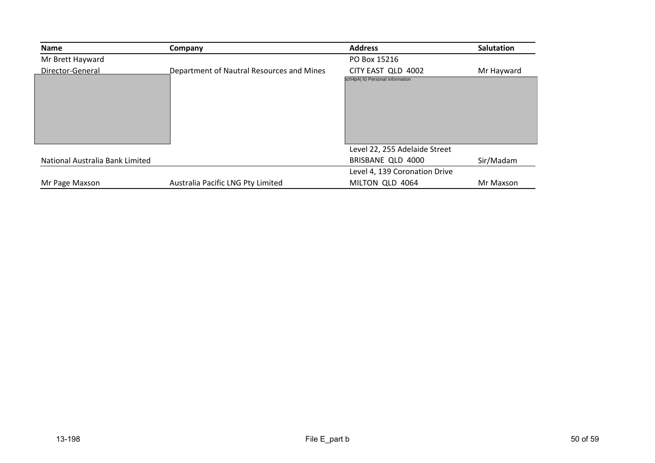| <b>Name</b>                     | Company                                          | <b>Address</b>                 | Salutation |          |
|---------------------------------|--------------------------------------------------|--------------------------------|------------|----------|
| Mr Brett Hayward                |                                                  | PO Box 15216                   |            |          |
| Director-General                | <b>Pepartment of Nautral Resources and Mines</b> | CITY EAST QLD 4002             | Mr Hayward |          |
|                                 |                                                  | sch4p4(6) Personal information |            |          |
|                                 |                                                  |                                |            |          |
|                                 |                                                  |                                |            |          |
|                                 |                                                  |                                |            |          |
|                                 |                                                  |                                |            |          |
|                                 |                                                  |                                |            |          |
|                                 |                                                  | Level 22, 255 Adelaide Street  |            |          |
| National Australia Bank Limited |                                                  | BRISBANE QLD 4000              | Sir/Madam  |          |
|                                 |                                                  | Level 4, 139 Coronation Drive  |            |          |
| Mr Page Maxson                  | Australia Pacific LNG Pty Limited                | MILTON QLD 4064                | Mr Maxson  |          |
|                                 |                                                  |                                |            |          |
|                                 |                                                  |                                |            |          |
|                                 |                                                  |                                |            |          |
|                                 |                                                  |                                |            |          |
|                                 |                                                  |                                |            |          |
|                                 |                                                  |                                |            |          |
|                                 |                                                  |                                |            |          |
|                                 |                                                  |                                |            |          |
|                                 |                                                  |                                |            |          |
|                                 |                                                  |                                |            |          |
|                                 |                                                  |                                |            |          |
|                                 |                                                  |                                |            |          |
|                                 |                                                  |                                |            |          |
|                                 |                                                  |                                |            |          |
|                                 |                                                  |                                |            |          |
|                                 |                                                  |                                |            |          |
|                                 |                                                  |                                |            |          |
|                                 |                                                  |                                |            |          |
|                                 |                                                  |                                |            |          |
|                                 |                                                  |                                |            |          |
|                                 |                                                  |                                |            |          |
|                                 |                                                  |                                |            |          |
|                                 |                                                  |                                |            |          |
|                                 |                                                  |                                |            |          |
| 13-198                          | File E_part b                                    |                                |            | 50 of 59 |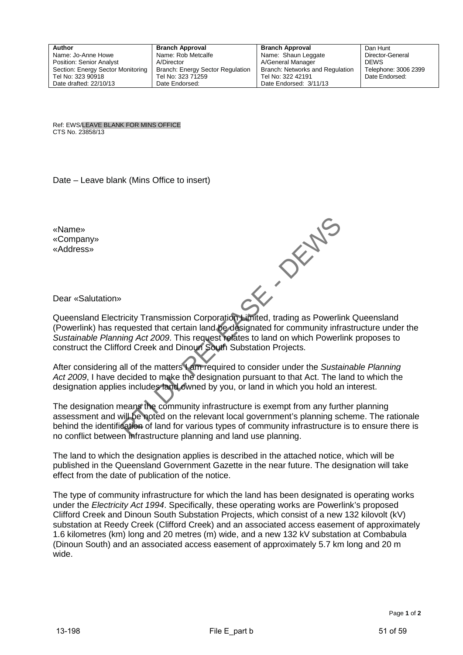| Author                            | <b>Branch Approval</b>           | <b>Branch Approval</b>          | Dan Hunt             |
|-----------------------------------|----------------------------------|---------------------------------|----------------------|
| Name: Jo-Anne Howe                | Name: Rob Metcalfe               | Name: Shaun Leggate             | Director-General     |
| <b>Position: Senior Analyst</b>   | A/Director                       | A/General Manager               | <b>DEWS</b>          |
| Section: Energy Sector Monitoring | Branch: Energy Sector Regulation | Branch: Networks and Regulation | Telephone: 3006 2399 |
| Tel No: 323 90918                 | Tel No: 323 71259                | Tel No: 322 42191               | Date Endorsed:       |
| Date drafted: 22/10/13            | Date Endorsed:                   | Date Endorsed: 3/11/13          |                      |

Ref: EWS/LEAVE BLANK FOR MINS OFFICE CTS No. 23858/13

Date – Leave blank (Mins Office to insert)

«Name» «Company» «Address»

Dear «Salutation»

Dear «Salutation»<br>Queensland Electricity Transmission Corporation Limited, trading as Powerlink Queensland (Powerlink) has requested that certain land be designated for community infrastructure under the *Sustainable Planning Act 2009*. This request relates to land on which Powerlink proposes to construct the Clifford Creek and Dinoun South Substation Projects.

After considering all of the matters I am required to consider under the *Sustainable Planning Act 2009*, I have decided to make the designation pursuant to that Act. The land to which the designation applies includes land owned by you, or land in which you hold an interest.

The designation means the community infrastructure is exempt from any further planning assessment and will be noted on the relevant local government's planning scheme. The rationale behind the identification of land for various types of community infrastructure is to ensure there is no conflict between infrastructure planning and land use planning.

The land to which the designation applies is described in the attached notice, which will be published in the Queensland Government Gazette in the near future. The designation will take effect from the date of publication of the notice.

The type of community infrastructure for which the land has been designated is operating works under the *Electricity Act 1994*. Specifically, these operating works are Powerlink's proposed Clifford Creek and Dinoun South Substation Projects, which consist of a new 132 kilovolt (kV) substation at Reedy Creek (Clifford Creek) and an associated access easement of approximately 1.6 kilometres (km) long and 20 metres (m) wide, and a new 132 kV substation at Combabula (Dinoun South) and an associated access easement of approximately 5.7 km long and 20 m wide. Warney<br>
Company<br>
Company<br>
Company<br>
Company<br>
Company<br>
Company<br>
Company<br>
Company<br>
Company<br>
Company<br>
Company Company<br>
Company Company Company<br>
Company Company Company<br>
Company Company Company<br>
Company Company Company<br>
Company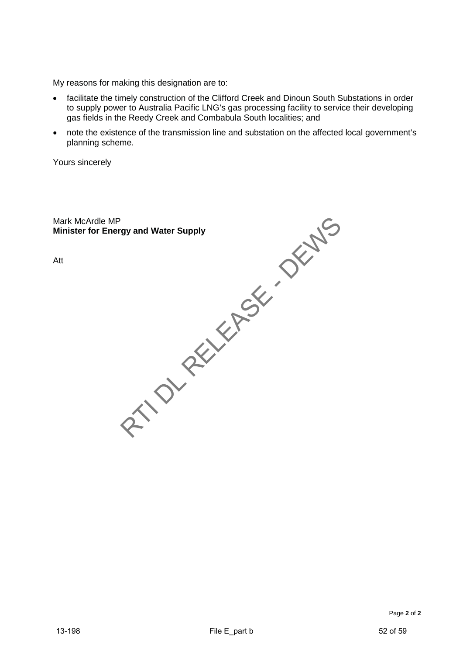My reasons for making this designation are to:

- facilitate the timely construction of the Clifford Creek and Dinoun South Substations in order to supply power to Australia Pacific LNG's gas processing facility to service their developing gas fields in the Reedy Creek and Combabula South localities; and
- note the existence of the transmission line and substation on the affected local government's planning scheme.

Yours sincerely

Mark McArdle MP **Minister for Energy and Water Supply** Att **PART DL RELEASE - DEWS - ONEWS**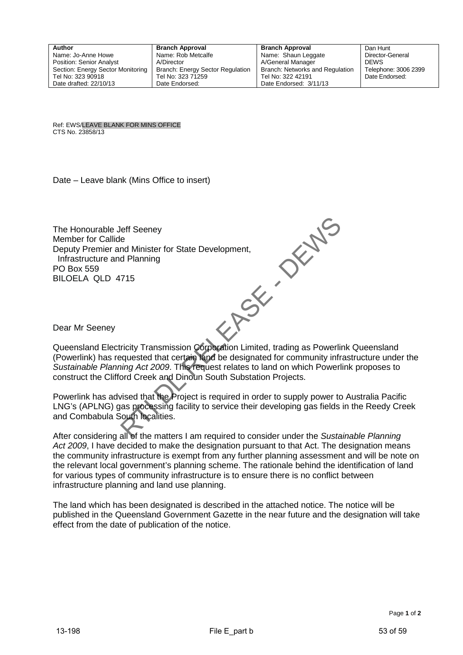| Author                            | <b>Branch Approval</b>           | <b>Branch Approval</b>          | Dan Hunt             |
|-----------------------------------|----------------------------------|---------------------------------|----------------------|
| Name: Jo-Anne Howe                | Name: Rob Metcalfe               | Name: Shaun Leggate             | Director-General     |
| <b>Position: Senior Analyst</b>   | A/Director                       | A/General Manager               | <b>DEWS</b>          |
| Section: Energy Sector Monitoring | Branch: Energy Sector Regulation | Branch: Networks and Regulation | Telephone: 3006 2399 |
| Tel No: 323 90918                 | Tel No: 323 71259                | Tel No: 322 42191               | Date Endorsed:       |
| Date drafted: 22/10/13            | Date Endorsed:                   | Date Endorsed: 3/11/13          |                      |

Ref: EWS/LEAVE BLANK FOR MINS OFFICE CTS No. 23858/13

Date – Leave blank (Mins Office to insert)

The Honourable Jeff Seeney Member for Callide Deputy Premier and Minister for State Development, Infrastructure and Planning PO Box 559 BILOELA QLD 4715

Dear Mr Seeney

Queensland Electricity Transmission Corporation Limited, trading as Powerlink Queensland (Powerlink) has requested that certain land be designated for community infrastructure under the *Sustainable Planning Act 2009*. This request relates to land on which Powerlink proposes to construct the Clifford Creek and Dinoun South Substation Projects.

Powerlink has advised that the Project is required in order to supply power to Australia Pacific LNG's (APLNG) gas processing facility to service their developing gas fields in the Reedy Creek and Combabula South localities.

After considering all of the matters I am required to consider under the *Sustainable Planning Act 2009*, I have decided to make the designation pursuant to that Act. The designation means the community infrastructure is exempt from any further planning assessment and will be note on the relevant local government's planning scheme. The rationale behind the identification of land for various types of community infrastructure is to ensure there is no conflict between infrastructure planning and land use planning. The Search of Search of Search of The Care of the Control of the Club Care of the Search of Powerisins) has requested that cordinal field be designated for community infrastructure under Foweristins has a requested that co

The land which has been designated is described in the attached notice. The notice will be published in the Queensland Government Gazette in the near future and the designation will take effect from the date of publication of the notice.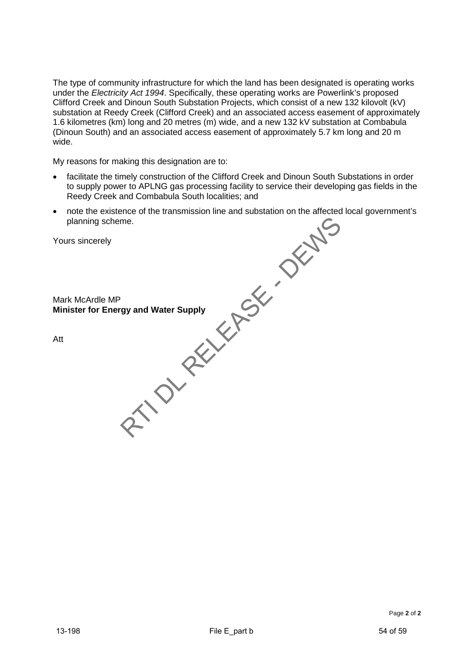The type of community infrastructure for which the land has been designated is operating works under the *Electricity Act 1994*. Specifically, these operating works are Powerlink's proposed Clifford Creek and Dinoun South Substation Projects, which consist of a new 132 kilovolt (kV) substation at Reedy Creek (Clifford Creek) and an associated access easement of approximately 1.6 kilometres (km) long and 20 metres (m) wide, and a new 132 kV substation at Combabula (Dinoun South) and an associated access easement of approximately 5.7 km long and 20 m wide.

My reasons for making this designation are to:

- facilitate the timely construction of the Clifford Creek and Dinoun South Substations in order to supply power to APLNG gas processing facility to service their developing gas fields in the Reedy Creek and Combabula South localities; and
- note the existence of the transmission line and substation on the affected local government's planning scheme.

Yours sincerely Mark McArdle MP **Minister for Energy and Water Supply** Att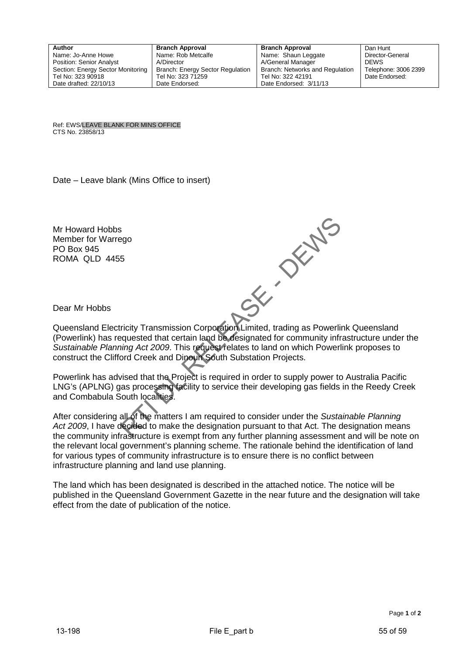| Author                            | <b>Branch Approval</b>                  | <b>Branch Approval</b>          | Dan Hunt             |
|-----------------------------------|-----------------------------------------|---------------------------------|----------------------|
| Name: Jo-Anne Howe                | Name: Rob Metcalfe                      | Name: Shaun Leggate             | Director-General     |
| <b>Position: Senior Analyst</b>   | A/Director                              | A/General Manager               | <b>DEWS</b>          |
| Section: Energy Sector Monitoring | <b>Branch: Energy Sector Regulation</b> | Branch: Networks and Regulation | Telephone: 3006 2399 |
| Tel No: 323 90918                 | Tel No: 323 71259                       | Tel No: 322 42191               | Date Endorsed:       |
| Date drafted: 22/10/13            | Date Endorsed:                          | Date Endorsed: 3/11/13          |                      |

Ref: EWS/LEAVE BLANK FOR MINS OFFICE CTS No. 23858/13

Date – Leave blank (Mins Office to insert)

Mr Howard Hobbs Member for Warrego PO Box 945 ROMA QLD 4455

Dear Mr Hobbs

Dear Mr Hobbs<br>Queensland Electricity Transmission Corporation Limited, trading as Powerlink Queensland (Powerlink) has requested that certain land be designated for community infrastructure under the *Sustainable Planning Act 2009*. This request relates to land on which Powerlink proposes to construct the Clifford Creek and Dinoun South Substation Projects.

Powerlink has advised that the Project is required in order to supply power to Australia Pacific LNG's (APLNG) gas processing facility to service their developing gas fields in the Reedy Creek and Combabula South localities.

After considering all of the matters I am required to consider under the *Sustainable Planning*  Act 2009, I have decided to make the designation pursuant to that Act. The designation means the community infrastructure is exempt from any further planning assessment and will be note on the relevant local government's planning scheme. The rationale behind the identification of land for various types of community infrastructure is to ensure there is no conflict between infrastructure planning and land use planning. Nr Howard Hobbs<br>
Yellow Richarel For Warrego<br>
Yellow Star Min Hobbs<br>
20 Box 945<br>
20 Box 945<br>
Dear Min Hobbs<br>
20 Box 945<br>
Dear Min Hobbs<br>
Sustainable Planning Act 2008. This requested that eertain land **Developing as Powerl** 

The land which has been designated is described in the attached notice. The notice will be published in the Queensland Government Gazette in the near future and the designation will take effect from the date of publication of the notice.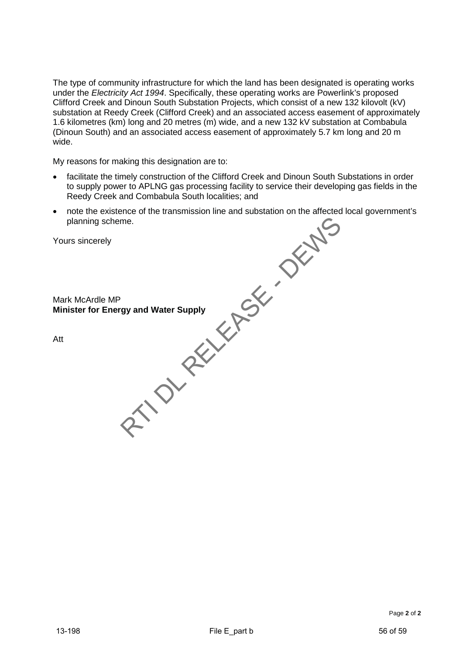The type of community infrastructure for which the land has been designated is operating works under the *Electricity Act 1994*. Specifically, these operating works are Powerlink's proposed Clifford Creek and Dinoun South Substation Projects, which consist of a new 132 kilovolt (kV) substation at Reedy Creek (Clifford Creek) and an associated access easement of approximately 1.6 kilometres (km) long and 20 metres (m) wide, and a new 132 kV substation at Combabula (Dinoun South) and an associated access easement of approximately 5.7 km long and 20 m wide.

My reasons for making this designation are to:

- facilitate the timely construction of the Clifford Creek and Dinoun South Substations in order to supply power to APLNG gas processing facility to service their developing gas fields in the Reedy Creek and Combabula South localities; and
- note the existence of the transmission line and substation on the affected local government's planning scheme.

Yours sincerely Mark McArdle MP **Minister for Energy and Water Supply** Att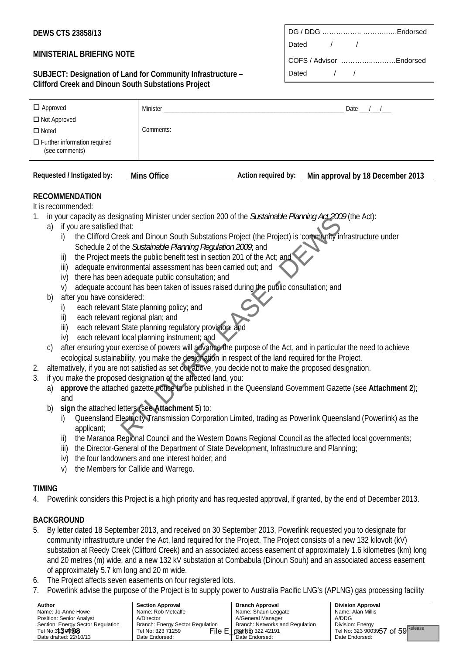| <b>DEWS CTS 23858/13</b>                                    |          |                         |  |
|-------------------------------------------------------------|----------|-------------------------|--|
| MINISTERIAL BRIEFING NOTE                                   |          | Dated                   |  |
|                                                             |          | COFS / Advisor Endorsed |  |
| SUBJECT: Designation of Land for Community Infrastructure - |          | Dated                   |  |
| <b>Clifford Creek and Dinoun South Substations Project</b>  |          |                         |  |
| $\Box$ Approved                                             | Minister | Nate                    |  |

| Requested / Instigated by:                            | Mins Office     | Action required by: | Min approval by 18 December 2013 |
|-------------------------------------------------------|-----------------|---------------------|----------------------------------|
| $\Box$ Further information required<br>(see comments) |                 |                     |                                  |
| $\Box$ Noted                                          | Comments:       |                     |                                  |
| $\Box$ Not Approved                                   |                 |                     |                                  |
| $\Box$ Approved                                       | <b>Minister</b> |                     | Date                             |

### **RECOMMENDATION**

It is recommended:

- 1. in your capacity as designating Minister under section 200 of the *Sustainable Planning Act 2009* (the Act):
	- a) if you are satisfied that:
		- i) the Clifford Creek and Dinoun South Substations Project (the Project) is 'community infrastructure under Schedule 2 of the *Sustainable Planning Regulation 2009*; and
		- the Project meets the public benefit test in section 201 of the Act; and
		- iii) adequate environmental assessment has been carried out; and
		- iv) there has been adequate public consultation; and
		- v) adequate account has been taken of issues raised during the public consultation; and
	- b) after you have considered:
		- i) each relevant State planning policy; and
		- ii) each relevant regional plan; and
		- iii) each relevant State planning regulatory provision; and
		- iv) each relevant local planning instrument; and
	- c) after ensuring your exercise of powers will advance the purpose of the Act, and in particular the need to achieve ecological sustainability, you make the designation in respect of the land required for the Project.
- 2. alternatively, if you are not satisfied as set out above, you decide not to make the proposed designation.
- if you make the proposed designation of the affected land, you:
	- a) **approve** the attached gazette notice to be published in the Queensland Government Gazette (see **Attachment 2**); and
	- b) **sign** the attached letters (see **Attachment 5**) to:
		- i) Queensland Electricity Transmission Corporation Limited, trading as Powerlink Queensland (Powerlink) as the applicant;
		- ii) the Maranoa Regional Council and the Western Downs Regional Council as the affected local governments;
		- iii) the Director-General of the Department of State Development, Infrastructure and Planning;
		- iv) the four landowners and one interest holder; and
		- v) the Members for Callide and Warrego.

#### **TIMING**

4. Powerlink considers this Project is a high priority and has requested approval, if granted, by the end of December 2013.

#### **BACKGROUND**

- 5. By letter dated 18 September 2013, and received on 30 September 2013, Powerlink requested you to designate for community infrastructure under the Act, land required for the Project. The Project consists of a new 132 kilovolt (kV) substation at Reedy Creek (Clifford Creek) and an associated access easement of approximately 1.6 kilometres (km) long and 20 metres (m) wide, and a new 132 kV substation at Combabula (Dinoun Souh) and an associated access easement of approximately 5.7 km long and 20 m wide. The term of the state of the state of the branching internal term is the state of the brigad methods of the branching of the state of the branching of the branching of the branching of the state of the branching of the st
- 6. The Project affects seven easements on four registered lots.
- 7. Powerlink advise the purpose of the Project is to supply power to Australia Pacific LNG's (APLNG) gas processing facility

| <b>Author</b>                     | <b>Section Approval</b>          | <b>Branch Approval</b>                    | <b>Division Approval</b>                     |
|-----------------------------------|----------------------------------|-------------------------------------------|----------------------------------------------|
| Name: Jo-Anne Howe                | Name: Rob Metcalfe               | Name: Shaun Leggate                       | Name: Alan Millis                            |
| <b>Position: Senior Analyst</b>   | A/Director                       | A/General Manager                         | A/DDG                                        |
| Section: Energy Sector Regulation | Branch: Energy Sector Regulation | Branch: Networks and Regulation           | Division: Energy                             |
| Tel No:31233-01948                | Tel No: 323 71259                | File $E $ $\bar{D}$ art $\nu$ b 322 42191 | Tel No: 323 9003957 of 59 <sup>Release</sup> |
| Date drafted: 22/10/13            | Date Endorsed:                   | "Date Endorsed:                           | Date Endorsed:                               |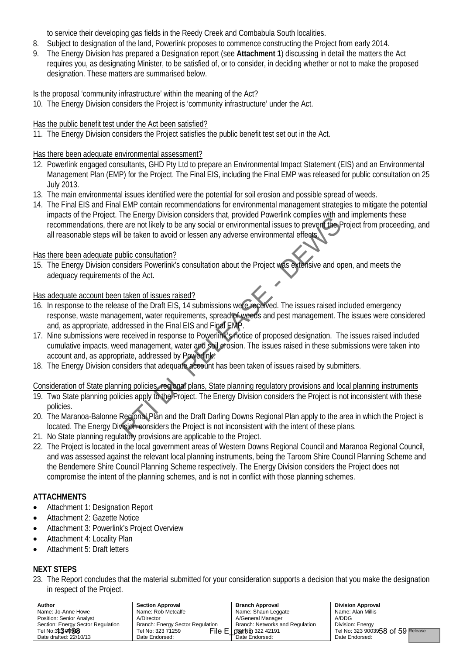to service their developing gas fields in the Reedy Creek and Combabula South localities.

- 8. Subject to designation of the land, Powerlink proposes to commence constructing the Project from early 2014.
- 9. The Energy Division has prepared a Designation report (see **Attachment 1**) discussing in detail the matters the Act requires you, as designating Minister, to be satisfied of, or to consider, in deciding whether or not to make the proposed designation. These matters are summarised below.

#### Is the proposal 'community infrastructure' within the meaning of the Act?

10. The Energy Division considers the Project is 'community infrastructure' under the Act.

#### Has the public benefit test under the Act been satisfied?

11. The Energy Division considers the Project satisfies the public benefit test set out in the Act.

#### Has there been adequate environmental assessment?

- 12. Powerlink engaged consultants, GHD Pty Ltd to prepare an Environmental Impact Statement (EIS) and an Environmental Management Plan (EMP) for the Project. The Final EIS, including the Final EMP was released for public consultation on 25 July 2013.
- 13. The main environmental issues identified were the potential for soil erosion and possible spread of weeds.
- 14. The Final EIS and Final EMP contain recommendations for environmental management strategies to mitigate the potential impacts of the Project. The Energy Division considers that, provided Powerlink complies with and implements these recommendations, there are not likely to be any social or environmental issues to prevent the Project from proceeding, and all reasonable steps will be taken to avoid or lessen any adverse environmental effects.

#### Has there been adequate public consultation?

15. The Energy Division considers Powerlink's consultation about the Project was extensive and open, and meets the adequacy requirements of the Act.

#### Has adequate account been taken of issues raised?

- 16. In response to the release of the Draft EIS, 14 submissions were received. The issues raised included emergency response, waste management, water requirements, spread of weeds and pest management. The issues were considered and, as appropriate, addressed in the Final EIS and Final EMP.
- 17. Nine submissions were received in response to Powerlink's notice of proposed designation. The issues raised included cumulative impacts, weed management, water and soil erosion. The issues raised in these submissions were taken into account and, as appropriate, addressed by Powerlink.
- 18. The Energy Division considers that adequate account has been taken of issues raised by submitters.

# Consideration of State planning policies, regional plans, State planning regulatory provisions and local planning instruments

- 19. Two State planning policies apply to the Project. The Energy Division considers the Project is not inconsistent with these policies.
- 20. The Maranoa-Balonne Regional Plan and the Draft Darling Downs Regional Plan apply to the area in which the Project is located. The Energy Division considers the Project is not inconsistent with the intent of these plans.
- 21. No State planning regulatory provisions are applicable to the Project.
- 22. The Project is located in the local government areas of Western Downs Regional Council and Maranoa Regional Council, and was assessed against the relevant local planning instruments, being the Taroom Shire Council Planning Scheme and the Bendemere Shire Council Planning Scheme respectively. The Energy Division considers the Project does not compromise the intent of the planning schemes, and is not in conflict with those planning schemes. Intermentalions, there are not likely to be any social or environmental issues to prove the Report of the Release of the Release of the Release of the Release of 59 RT in the Release of 59 RT in the Release of 59 RT in th

#### **ATTACHMENTS**

- Attachment 1: Designation Report
- Attachment 2: Gazette Notice
- Attachment 3: Powerlink's Project Overview
- Attachment 4: Locality Plan
- Attachment 5: Draft letters

#### **NEXT STEPS**

23. The Report concludes that the material submitted for your consideration supports a decision that you make the designation in respect of the Project.

| Author                            | <b>Section Approval</b>          | <b>Branch Approval</b>          | <b>Division Approval</b>          |
|-----------------------------------|----------------------------------|---------------------------------|-----------------------------------|
| Name: Jo-Anne Howe                | Name: Rob Metcalfe               | Name: Shaun Leggate             | Name: Alan Millis                 |
| Position: Senior Analyst          | A/Director                       | A/General Manager               | A/DDG                             |
| Section: Energy Sector Regulation | Branch: Energy Sector Regulation | Branch: Networks and Regulation | Division: Energy                  |
| Tel No:3233 909918                | Tel No: 323 71259                | File $E $ part $\phi$ 322 42191 | Tel No: 323 9003958 of 59 Release |
| Date drafted: 22/10/13            | Date Endorsed:                   | Date Endorsed:                  | Date Endorsed:                    |